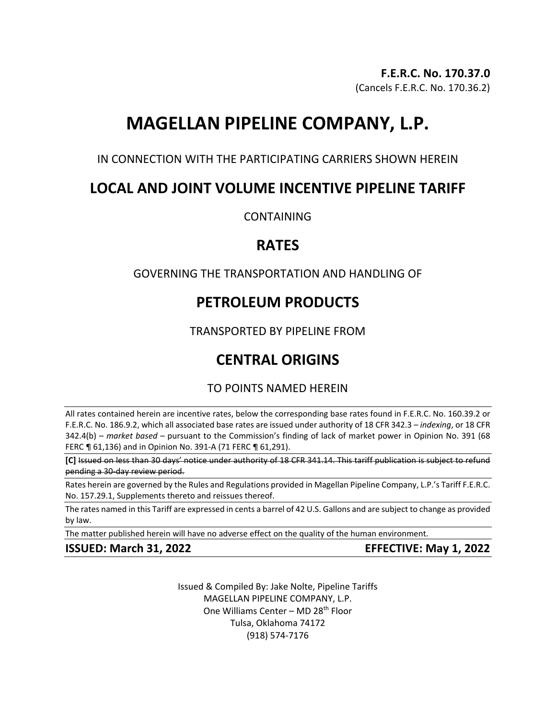# **MAGELLAN PIPELINE COMPANY, L.P.**

IN CONNECTION WITH THE PARTICIPATING CARRIERS SHOWN HEREIN

# **LOCAL AND JOINT VOLUME INCENTIVE PIPELINE TARIFF**

**CONTAINING** 

# **RATES**

# GOVERNING THE TRANSPORTATION AND HANDLING OF

# **PETROLEUM PRODUCTS**

TRANSPORTED BY PIPELINE FROM

# **CENTRAL ORIGINS**

# TO POINTS NAMED HEREIN

All rates contained herein are incentive rates, below the corresponding base rates found in F.E.R.C. No. 160.39.2 or F.E.R.C. No. 186.9.2, which all associated base rates are issued under authority of 18 CFR 342.3 – *indexing*, or 18 CFR 342.4(b) – *market based* – pursuant to the Commission's finding of lack of market power in Opinion No. 391 (68 FERC ¶ 61,136) and in Opinion No. 391-A (71 FERC ¶ 61,291).

**[C]** Issued on less than 30 days' notice under authority of 18 CFR 341.14. This tariff publication is subject to refund pending a 30-day review period.

Rates herein are governed by the Rules and Regulations provided in Magellan Pipeline Company, L.P.'s Tariff F.E.R.C. No. 157.29.1, Supplements thereto and reissues thereof.

The rates named in this Tariff are expressed in cents a barrel of 42 U.S. Gallons and are subject to change as provided by law.

The matter published herein will have no adverse effect on the quality of the human environment.

# **ISSUED: March 31, 2022 EFFECTIVE: May 1, 2022**

Issued & Compiled By: Jake Nolte, Pipeline Tariffs MAGELLAN PIPELINE COMPANY, L.P. One Williams Center - MD 28<sup>th</sup> Floor Tulsa, Oklahoma 74172 (918) 574-7176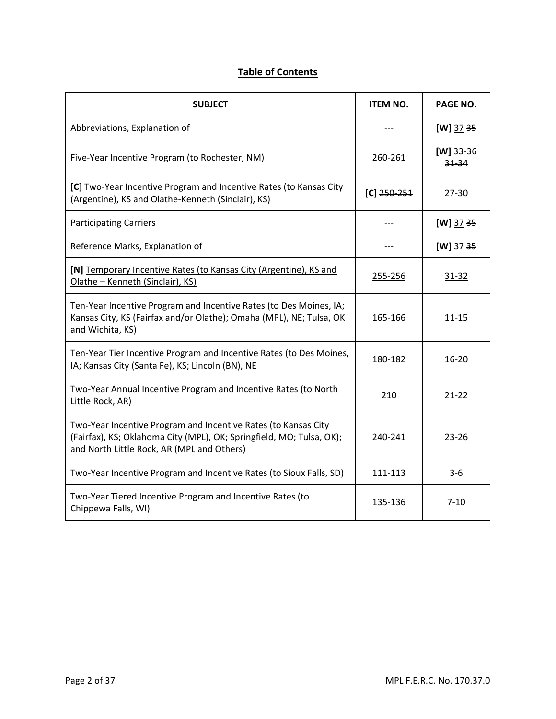# **Table of Contents**

| <b>SUBJECT</b>                                                                                                                                                                       | <b>ITEM NO.</b> | PAGE NO.                 |
|--------------------------------------------------------------------------------------------------------------------------------------------------------------------------------------|-----------------|--------------------------|
| Abbreviations, Explanation of                                                                                                                                                        |                 | $[W]$ 37 35              |
| Five-Year Incentive Program (to Rochester, NM)                                                                                                                                       | 260-261         | $[W]$ 33-36<br>$31 - 34$ |
| [C] Two-Year Incentive Program and Incentive Rates (to Kansas City<br>(Argentine), KS and Olathe-Kenneth (Sinclair), KS)                                                             | $[C]$ 250-251   | 27-30                    |
| <b>Participating Carriers</b>                                                                                                                                                        |                 | [W] $3735$               |
| Reference Marks, Explanation of                                                                                                                                                      |                 | $[W]$ 37 35              |
| [N] Temporary Incentive Rates (to Kansas City (Argentine), KS and<br>Olathe - Kenneth (Sinclair), KS)                                                                                | 255-256         | $31 - 32$                |
| Ten-Year Incentive Program and Incentive Rates (to Des Moines, IA;<br>Kansas City, KS (Fairfax and/or Olathe); Omaha (MPL), NE; Tulsa, OK<br>and Wichita, KS)                        | 165-166         | $11 - 15$                |
| Ten-Year Tier Incentive Program and Incentive Rates (to Des Moines,<br>IA; Kansas City (Santa Fe), KS; Lincoln (BN), NE                                                              | 180-182         | $16-20$                  |
| Two-Year Annual Incentive Program and Incentive Rates (to North<br>Little Rock, AR)                                                                                                  | 210             | $21 - 22$                |
| Two-Year Incentive Program and Incentive Rates (to Kansas City<br>(Fairfax), KS; Oklahoma City (MPL), OK; Springfield, MO; Tulsa, OK);<br>and North Little Rock, AR (MPL and Others) | 240-241         | $23 - 26$                |
| Two-Year Incentive Program and Incentive Rates (to Sioux Falls, SD)                                                                                                                  | 111-113         | $3-6$                    |
| Two-Year Tiered Incentive Program and Incentive Rates (to<br>Chippewa Falls, WI)                                                                                                     | 135-136         | $7 - 10$                 |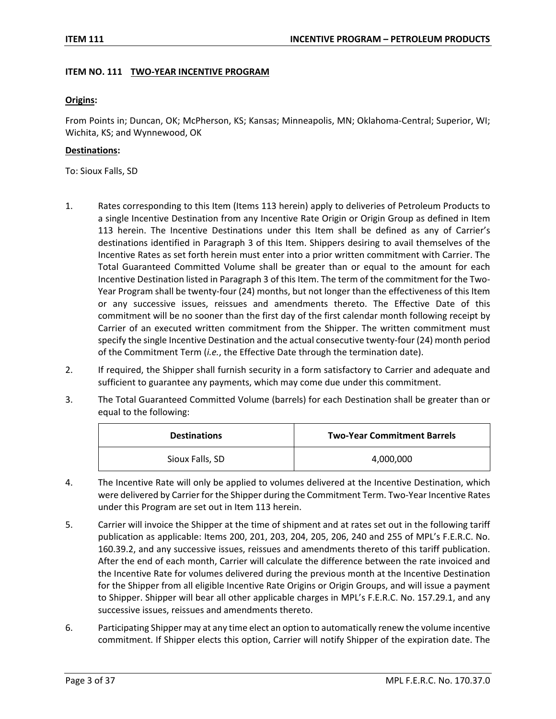#### **ITEM NO. 111 TWO-YEAR INCENTIVE PROGRAM**

#### **Origins:**

From Points in; Duncan, OK; McPherson, KS; Kansas; Minneapolis, MN; Oklahoma-Central; Superior, WI; Wichita, KS; and Wynnewood, OK

#### **Destinations:**

To: Sioux Falls, SD

- 1. Rates corresponding to this Item (Items 113 herein) apply to deliveries of Petroleum Products to a single Incentive Destination from any Incentive Rate Origin or Origin Group as defined in Item 113 herein. The Incentive Destinations under this Item shall be defined as any of Carrier's destinations identified in Paragraph 3 of this Item. Shippers desiring to avail themselves of the Incentive Rates as set forth herein must enter into a prior written commitment with Carrier. The Total Guaranteed Committed Volume shall be greater than or equal to the amount for each Incentive Destination listed in Paragraph 3 of this Item. The term of the commitment for the Two-Year Program shall be twenty-four (24) months, but not longer than the effectiveness of this Item or any successive issues, reissues and amendments thereto. The Effective Date of this commitment will be no sooner than the first day of the first calendar month following receipt by Carrier of an executed written commitment from the Shipper. The written commitment must specify the single Incentive Destination and the actual consecutive twenty-four (24) month period of the Commitment Term (*i.e.*, the Effective Date through the termination date).
- 2. If required, the Shipper shall furnish security in a form satisfactory to Carrier and adequate and sufficient to guarantee any payments, which may come due under this commitment.
- 3. The Total Guaranteed Committed Volume (barrels) for each Destination shall be greater than or equal to the following:

| <b>Destinations</b> | <b>Two-Year Commitment Barrels</b> |
|---------------------|------------------------------------|
| Sioux Falls, SD     | 4,000,000                          |

- 4. The Incentive Rate will only be applied to volumes delivered at the Incentive Destination, which were delivered by Carrier for the Shipper during the Commitment Term. Two-Year Incentive Rates under this Program are set out in Item 113 herein.
- 5. Carrier will invoice the Shipper at the time of shipment and at rates set out in the following tariff publication as applicable: Items 200, 201, 203, 204, 205, 206, 240 and 255 of MPL's F.E.R.C. No. 160.39.2, and any successive issues, reissues and amendments thereto of this tariff publication. After the end of each month, Carrier will calculate the difference between the rate invoiced and the Incentive Rate for volumes delivered during the previous month at the Incentive Destination for the Shipper from all eligible Incentive Rate Origins or Origin Groups, and will issue a payment to Shipper. Shipper will bear all other applicable charges in MPL's F.E.R.C. No. 157.29.1, and any successive issues, reissues and amendments thereto.
- 6. Participating Shipper may at any time elect an option to automatically renew the volume incentive commitment. If Shipper elects this option, Carrier will notify Shipper of the expiration date. The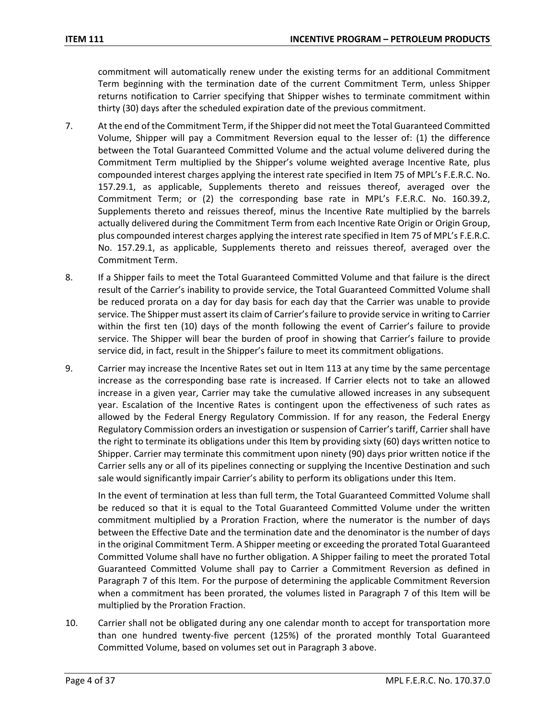commitment will automatically renew under the existing terms for an additional Commitment Term beginning with the termination date of the current Commitment Term, unless Shipper returns notification to Carrier specifying that Shipper wishes to terminate commitment within thirty (30) days after the scheduled expiration date of the previous commitment.

- 7. At the end of the Commitment Term, if the Shipper did not meet the Total Guaranteed Committed Volume, Shipper will pay a Commitment Reversion equal to the lesser of: (1) the difference between the Total Guaranteed Committed Volume and the actual volume delivered during the Commitment Term multiplied by the Shipper's volume weighted average Incentive Rate, plus compounded interest charges applying the interest rate specified in Item 75 of MPL's F.E.R.C. No. 157.29.1, as applicable, Supplements thereto and reissues thereof, averaged over the Commitment Term; or (2) the corresponding base rate in MPL's F.E.R.C. No. 160.39.2, Supplements thereto and reissues thereof, minus the Incentive Rate multiplied by the barrels actually delivered during the Commitment Term from each Incentive Rate Origin or Origin Group, plus compounded interest charges applying the interest rate specified in Item 75 of MPL's F.E.R.C. No. 157.29.1, as applicable, Supplements thereto and reissues thereof, averaged over the Commitment Term.
- 8. If a Shipper fails to meet the Total Guaranteed Committed Volume and that failure is the direct result of the Carrier's inability to provide service, the Total Guaranteed Committed Volume shall be reduced prorata on a day for day basis for each day that the Carrier was unable to provide service. The Shipper must assert its claim of Carrier's failure to provide service in writing to Carrier within the first ten (10) days of the month following the event of Carrier's failure to provide service. The Shipper will bear the burden of proof in showing that Carrier's failure to provide service did, in fact, result in the Shipper's failure to meet its commitment obligations.
- 9. Carrier may increase the Incentive Rates set out in Item 113 at any time by the same percentage increase as the corresponding base rate is increased. If Carrier elects not to take an allowed increase in a given year, Carrier may take the cumulative allowed increases in any subsequent year. Escalation of the Incentive Rates is contingent upon the effectiveness of such rates as allowed by the Federal Energy Regulatory Commission. If for any reason, the Federal Energy Regulatory Commission orders an investigation or suspension of Carrier's tariff, Carrier shall have the right to terminate its obligations under this Item by providing sixty (60) days written notice to Shipper. Carrier may terminate this commitment upon ninety (90) days prior written notice if the Carrier sells any or all of its pipelines connecting or supplying the Incentive Destination and such sale would significantly impair Carrier's ability to perform its obligations under this Item.

In the event of termination at less than full term, the Total Guaranteed Committed Volume shall be reduced so that it is equal to the Total Guaranteed Committed Volume under the written commitment multiplied by a Proration Fraction, where the numerator is the number of days between the Effective Date and the termination date and the denominator is the number of days in the original Commitment Term. A Shipper meeting or exceeding the prorated Total Guaranteed Committed Volume shall have no further obligation. A Shipper failing to meet the prorated Total Guaranteed Committed Volume shall pay to Carrier a Commitment Reversion as defined in Paragraph 7 of this Item. For the purpose of determining the applicable Commitment Reversion when a commitment has been prorated, the volumes listed in Paragraph 7 of this Item will be multiplied by the Proration Fraction.

10. Carrier shall not be obligated during any one calendar month to accept for transportation more than one hundred twenty-five percent (125%) of the prorated monthly Total Guaranteed Committed Volume, based on volumes set out in Paragraph 3 above.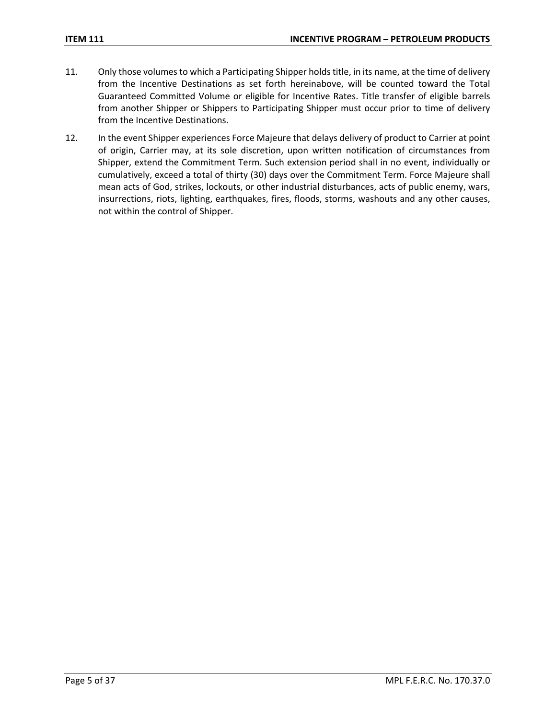- 11. Only those volumes to which a Participating Shipper holds title, in its name, at the time of delivery from the Incentive Destinations as set forth hereinabove, will be counted toward the Total Guaranteed Committed Volume or eligible for Incentive Rates. Title transfer of eligible barrels from another Shipper or Shippers to Participating Shipper must occur prior to time of delivery from the Incentive Destinations.
- 12. In the event Shipper experiences Force Majeure that delays delivery of product to Carrier at point of origin, Carrier may, at its sole discretion, upon written notification of circumstances from Shipper, extend the Commitment Term. Such extension period shall in no event, individually or cumulatively, exceed a total of thirty (30) days over the Commitment Term. Force Majeure shall mean acts of God, strikes, lockouts, or other industrial disturbances, acts of public enemy, wars, insurrections, riots, lighting, earthquakes, fires, floods, storms, washouts and any other causes, not within the control of Shipper.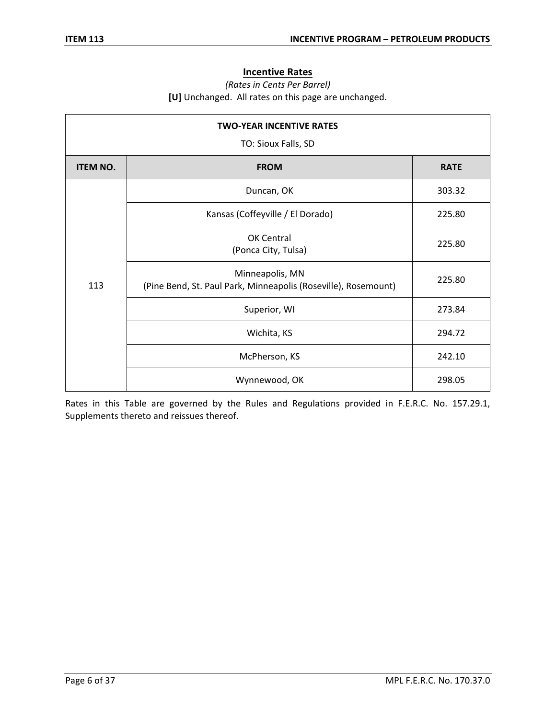## **Incentive Rates**

### *(Rates in Cents Per Barrel)* **[U]** Unchanged. All rates on this page are unchanged.

| <b>TWO-YEAR INCENTIVE RATES</b><br>TO: Sioux Falls, SD |                                                                                   |             |
|--------------------------------------------------------|-----------------------------------------------------------------------------------|-------------|
| <b>ITEM NO.</b>                                        | <b>FROM</b>                                                                       | <b>RATE</b> |
|                                                        | Duncan, OK                                                                        | 303.32      |
|                                                        | Kansas (Coffeyville / El Dorado)                                                  | 225.80      |
| 113                                                    | OK Central<br>(Ponca City, Tulsa)                                                 | 225.80      |
|                                                        | Minneapolis, MN<br>(Pine Bend, St. Paul Park, Minneapolis (Roseville), Rosemount) | 225.80      |
|                                                        | Superior, WI                                                                      | 273.84      |
|                                                        | Wichita, KS                                                                       | 294.72      |
|                                                        | McPherson, KS                                                                     | 242.10      |
|                                                        | Wynnewood, OK                                                                     | 298.05      |

Rates in this Table are governed by the Rules and Regulations provided in F.E.R.C. No. 157.29.1, Supplements thereto and reissues thereof.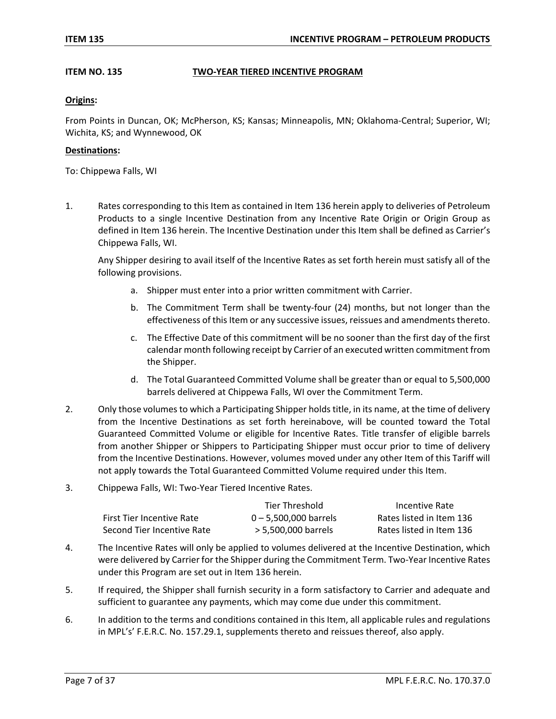### **ITEM NO. 135 TWO-YEAR TIERED INCENTIVE PROGRAM**

#### **Origins:**

From Points in Duncan, OK; McPherson, KS; Kansas; Minneapolis, MN; Oklahoma-Central; Superior, WI; Wichita, KS; and Wynnewood, OK

#### **Destinations:**

To: Chippewa Falls, WI

1. Rates corresponding to this Item as contained in Item 136 herein apply to deliveries of Petroleum Products to a single Incentive Destination from any Incentive Rate Origin or Origin Group as defined in Item 136 herein. The Incentive Destination under this Item shall be defined as Carrier's Chippewa Falls, WI.

Any Shipper desiring to avail itself of the Incentive Rates as set forth herein must satisfy all of the following provisions.

- a. Shipper must enter into a prior written commitment with Carrier.
- b. The Commitment Term shall be twenty-four (24) months, but not longer than the effectiveness of this Item or any successive issues, reissues and amendments thereto.
- c. The Effective Date of this commitment will be no sooner than the first day of the first calendar month following receipt by Carrier of an executed written commitment from the Shipper.
- d. The Total Guaranteed Committed Volume shall be greater than or equal to 5,500,000 barrels delivered at Chippewa Falls, WI over the Commitment Term.
- 2. Only those volumes to which a Participating Shipper holds title, in its name, at the time of delivery from the Incentive Destinations as set forth hereinabove, will be counted toward the Total Guaranteed Committed Volume or eligible for Incentive Rates. Title transfer of eligible barrels from another Shipper or Shippers to Participating Shipper must occur prior to time of delivery from the Incentive Destinations. However, volumes moved under any other Item of this Tariff will not apply towards the Total Guaranteed Committed Volume required under this Item.
- 3. Chippewa Falls, WI: Two-Year Tiered Incentive Rates.

|                                  | Tier Threshold          | Incentive Rate           |
|----------------------------------|-------------------------|--------------------------|
| <b>First Tier Incentive Rate</b> | $0 - 5.500.000$ barrels | Rates listed in Item 136 |
| Second Tier Incentive Rate       | > 5,500,000 barrels     | Rates listed in Item 136 |

- 4. The Incentive Rates will only be applied to volumes delivered at the Incentive Destination, which were delivered by Carrier for the Shipper during the Commitment Term. Two-Year Incentive Rates under this Program are set out in Item 136 herein.
- 5. If required, the Shipper shall furnish security in a form satisfactory to Carrier and adequate and sufficient to guarantee any payments, which may come due under this commitment.
- 6. In addition to the terms and conditions contained in this Item, all applicable rules and regulations in MPL's' F.E.R.C. No. 157.29.1, supplements thereto and reissues thereof, also apply.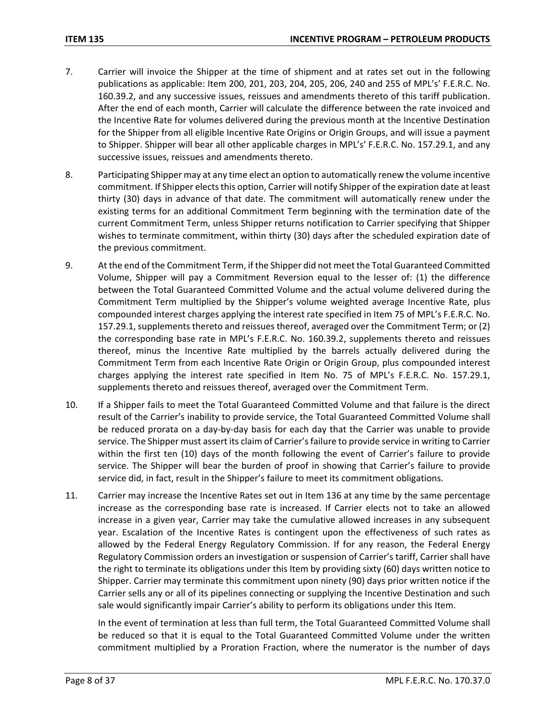- 7. Carrier will invoice the Shipper at the time of shipment and at rates set out in the following publications as applicable: Item 200, 201, 203, 204, 205, 206, 240 and 255 of MPL's' F.E.R.C. No. 160.39.2, and any successive issues, reissues and amendments thereto of this tariff publication. After the end of each month, Carrier will calculate the difference between the rate invoiced and the Incentive Rate for volumes delivered during the previous month at the Incentive Destination for the Shipper from all eligible Incentive Rate Origins or Origin Groups, and will issue a payment to Shipper. Shipper will bear all other applicable charges in MPL's' F.E.R.C. No. 157.29.1, and any successive issues, reissues and amendments thereto.
- 8. Participating Shipper may at any time elect an option to automatically renew the volume incentive commitment. If Shipper elects this option, Carrier will notify Shipper of the expiration date at least thirty (30) days in advance of that date. The commitment will automatically renew under the existing terms for an additional Commitment Term beginning with the termination date of the current Commitment Term, unless Shipper returns notification to Carrier specifying that Shipper wishes to terminate commitment, within thirty (30) days after the scheduled expiration date of the previous commitment.
- 9. At the end of the Commitment Term, if the Shipper did not meet the Total Guaranteed Committed Volume, Shipper will pay a Commitment Reversion equal to the lesser of: (1) the difference between the Total Guaranteed Committed Volume and the actual volume delivered during the Commitment Term multiplied by the Shipper's volume weighted average Incentive Rate, plus compounded interest charges applying the interest rate specified in Item 75 of MPL's F.E.R.C. No. 157.29.1, supplements thereto and reissues thereof, averaged over the Commitment Term; or (2) the corresponding base rate in MPL's F.E.R.C. No. 160.39.2, supplements thereto and reissues thereof, minus the Incentive Rate multiplied by the barrels actually delivered during the Commitment Term from each Incentive Rate Origin or Origin Group, plus compounded interest charges applying the interest rate specified in Item No. 75 of MPL's F.E.R.C. No. 157.29.1, supplements thereto and reissues thereof, averaged over the Commitment Term.
- 10. If a Shipper fails to meet the Total Guaranteed Committed Volume and that failure is the direct result of the Carrier's inability to provide service, the Total Guaranteed Committed Volume shall be reduced prorata on a day-by-day basis for each day that the Carrier was unable to provide service. The Shipper must assert its claim of Carrier's failure to provide service in writing to Carrier within the first ten (10) days of the month following the event of Carrier's failure to provide service. The Shipper will bear the burden of proof in showing that Carrier's failure to provide service did, in fact, result in the Shipper's failure to meet its commitment obligations.
- 11. Carrier may increase the Incentive Rates set out in Item 136 at any time by the same percentage increase as the corresponding base rate is increased. If Carrier elects not to take an allowed increase in a given year, Carrier may take the cumulative allowed increases in any subsequent year. Escalation of the Incentive Rates is contingent upon the effectiveness of such rates as allowed by the Federal Energy Regulatory Commission. If for any reason, the Federal Energy Regulatory Commission orders an investigation or suspension of Carrier's tariff, Carrier shall have the right to terminate its obligations under this Item by providing sixty (60) days written notice to Shipper. Carrier may terminate this commitment upon ninety (90) days prior written notice if the Carrier sells any or all of its pipelines connecting or supplying the Incentive Destination and such sale would significantly impair Carrier's ability to perform its obligations under this Item.

In the event of termination at less than full term, the Total Guaranteed Committed Volume shall be reduced so that it is equal to the Total Guaranteed Committed Volume under the written commitment multiplied by a Proration Fraction, where the numerator is the number of days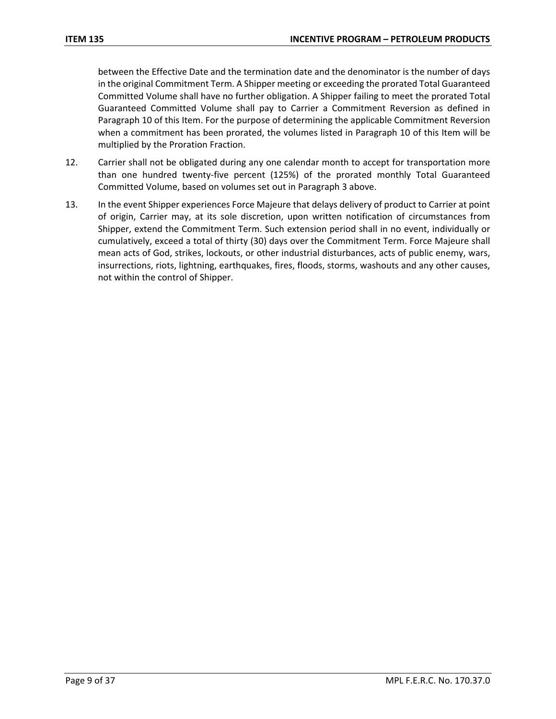between the Effective Date and the termination date and the denominator is the number of days in the original Commitment Term. A Shipper meeting or exceeding the prorated Total Guaranteed Committed Volume shall have no further obligation. A Shipper failing to meet the prorated Total Guaranteed Committed Volume shall pay to Carrier a Commitment Reversion as defined in Paragraph 10 of this Item. For the purpose of determining the applicable Commitment Reversion when a commitment has been prorated, the volumes listed in Paragraph 10 of this Item will be multiplied by the Proration Fraction.

- 12. Carrier shall not be obligated during any one calendar month to accept for transportation more than one hundred twenty-five percent (125%) of the prorated monthly Total Guaranteed Committed Volume, based on volumes set out in Paragraph 3 above.
- 13. In the event Shipper experiences Force Majeure that delays delivery of product to Carrier at point of origin, Carrier may, at its sole discretion, upon written notification of circumstances from Shipper, extend the Commitment Term. Such extension period shall in no event, individually or cumulatively, exceed a total of thirty (30) days over the Commitment Term. Force Majeure shall mean acts of God, strikes, lockouts, or other industrial disturbances, acts of public enemy, wars, insurrections, riots, lightning, earthquakes, fires, floods, storms, washouts and any other causes, not within the control of Shipper.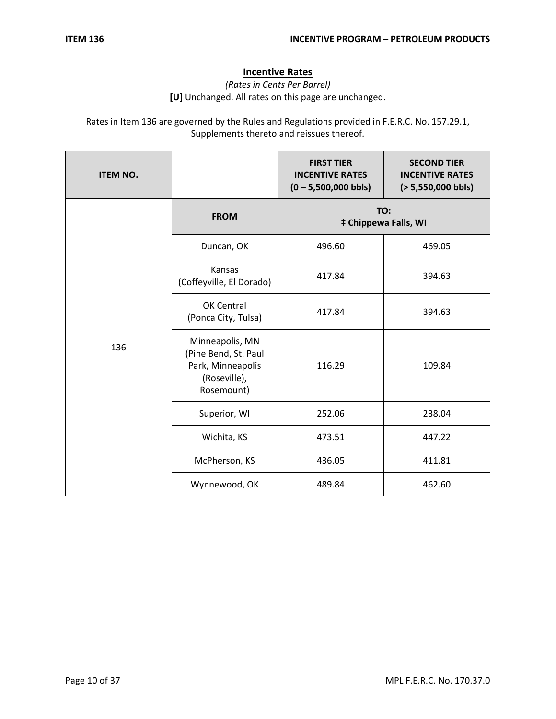# **Incentive Rates**

*(Rates in Cents Per Barrel)* **[U]** Unchanged. All rates on this page are unchanged.

Rates in Item 136 are governed by the Rules and Regulations provided in F.E.R.C. No. 157.29.1, Supplements thereto and reissues thereof.

| <b>ITEM NO.</b> |                                                                                            | <b>FIRST TIER</b><br><b>INCENTIVE RATES</b><br>$(0 - 5,500,000$ bbls) | <b>SECOND TIER</b><br><b>INCENTIVE RATES</b><br>$(> 5,550,000$ bbls) |
|-----------------|--------------------------------------------------------------------------------------------|-----------------------------------------------------------------------|----------------------------------------------------------------------|
|                 | <b>FROM</b>                                                                                | TO:<br><b>‡ Chippewa Falls, WI</b>                                    |                                                                      |
|                 | Duncan, OK                                                                                 | 496.60                                                                | 469.05                                                               |
|                 | Kansas<br>(Coffeyville, El Dorado)                                                         | 417.84                                                                | 394.63                                                               |
| 136             | OK Central<br>(Ponca City, Tulsa)                                                          | 417.84                                                                | 394.63                                                               |
|                 | Minneapolis, MN<br>(Pine Bend, St. Paul<br>Park, Minneapolis<br>(Roseville),<br>Rosemount) | 116.29                                                                | 109.84                                                               |
|                 | Superior, WI                                                                               | 252.06                                                                | 238.04                                                               |
|                 | Wichita, KS                                                                                | 473.51                                                                | 447.22                                                               |
|                 | McPherson, KS                                                                              | 436.05                                                                | 411.81                                                               |
|                 | Wynnewood, OK                                                                              | 489.84                                                                | 462.60                                                               |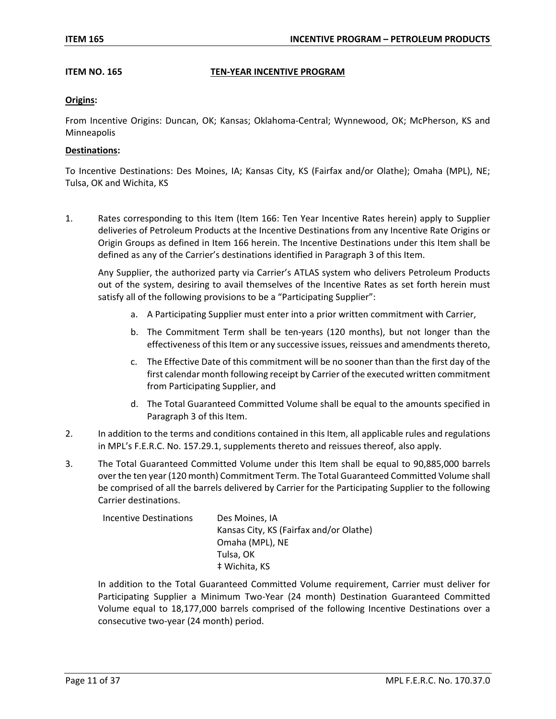#### **ITEM NO. 165 TEN-YEAR INCENTIVE PROGRAM**

#### **Origins:**

From Incentive Origins: Duncan, OK; Kansas; Oklahoma-Central; Wynnewood, OK; McPherson, KS and Minneapolis

#### **Destinations:**

To Incentive Destinations: Des Moines, IA; Kansas City, KS (Fairfax and/or Olathe); Omaha (MPL), NE; Tulsa, OK and Wichita, KS

1. Rates corresponding to this Item (Item 166: Ten Year Incentive Rates herein) apply to Supplier deliveries of Petroleum Products at the Incentive Destinations from any Incentive Rate Origins or Origin Groups as defined in Item 166 herein. The Incentive Destinations under this Item shall be defined as any of the Carrier's destinations identified in Paragraph 3 of this Item.

Any Supplier, the authorized party via Carrier's ATLAS system who delivers Petroleum Products out of the system, desiring to avail themselves of the Incentive Rates as set forth herein must satisfy all of the following provisions to be a "Participating Supplier":

- a. A Participating Supplier must enter into a prior written commitment with Carrier,
- b. The Commitment Term shall be ten-years (120 months), but not longer than the effectiveness of this Item or any successive issues, reissues and amendments thereto,
- c. The Effective Date of this commitment will be no sooner than than the first day of the first calendar month following receipt by Carrier of the executed written commitment from Participating Supplier, and
- d. The Total Guaranteed Committed Volume shall be equal to the amounts specified in Paragraph 3 of this Item.
- 2. In addition to the terms and conditions contained in this Item, all applicable rules and regulations in MPL's F.E.R.C. No. 157.29.1, supplements thereto and reissues thereof, also apply.
- 3. The Total Guaranteed Committed Volume under this Item shall be equal to 90,885,000 barrels over the ten year (120 month) Commitment Term. The Total Guaranteed Committed Volume shall be comprised of all the barrels delivered by Carrier for the Participating Supplier to the following Carrier destinations.

| Incentive Destinations | Des Moines, IA                          |
|------------------------|-----------------------------------------|
|                        | Kansas City, KS (Fairfax and/or Olathe) |
|                        | Omaha (MPL), NE                         |
|                        | Tulsa, OK                               |
|                        | # Wichita, KS                           |

In addition to the Total Guaranteed Committed Volume requirement, Carrier must deliver for Participating Supplier a Minimum Two-Year (24 month) Destination Guaranteed Committed Volume equal to 18,177,000 barrels comprised of the following Incentive Destinations over a consecutive two-year (24 month) period.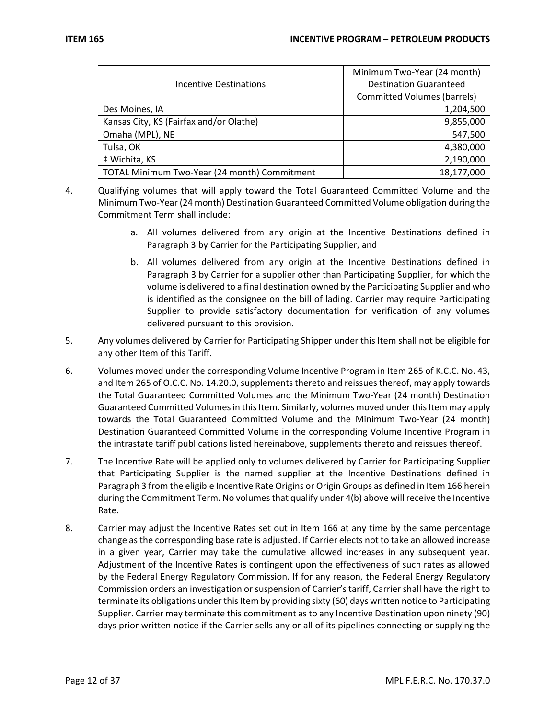|                                              | Minimum Two-Year (24 month)        |
|----------------------------------------------|------------------------------------|
| Incentive Destinations                       | <b>Destination Guaranteed</b>      |
|                                              | <b>Committed Volumes (barrels)</b> |
| Des Moines, IA                               | 1,204,500                          |
| Kansas City, KS (Fairfax and/or Olathe)      | 9,855,000                          |
| Omaha (MPL), NE                              | 547,500                            |
| Tulsa, OK                                    | 4,380,000                          |
| # Wichita, KS                                | 2,190,000                          |
| TOTAL Minimum Two-Year (24 month) Commitment | 18,177,000                         |

- 4. Qualifying volumes that will apply toward the Total Guaranteed Committed Volume and the Minimum Two-Year (24 month) Destination Guaranteed Committed Volume obligation during the Commitment Term shall include:
	- a. All volumes delivered from any origin at the Incentive Destinations defined in Paragraph 3 by Carrier for the Participating Supplier, and
	- b. All volumes delivered from any origin at the Incentive Destinations defined in Paragraph 3 by Carrier for a supplier other than Participating Supplier, for which the volume is delivered to a final destination owned by the Participating Supplier and who is identified as the consignee on the bill of lading. Carrier may require Participating Supplier to provide satisfactory documentation for verification of any volumes delivered pursuant to this provision.
- 5. Any volumes delivered by Carrier for Participating Shipper under this Item shall not be eligible for any other Item of this Tariff.
- 6. Volumes moved under the corresponding Volume Incentive Program in Item 265 of K.C.C. No. 43, and Item 265 of O.C.C. No. 14.20.0, supplements thereto and reissues thereof, may apply towards the Total Guaranteed Committed Volumes and the Minimum Two-Year (24 month) Destination Guaranteed Committed Volumes in this Item. Similarly, volumes moved under this Item may apply towards the Total Guaranteed Committed Volume and the Minimum Two-Year (24 month) Destination Guaranteed Committed Volume in the corresponding Volume Incentive Program in the intrastate tariff publications listed hereinabove, supplements thereto and reissues thereof.
- 7. The Incentive Rate will be applied only to volumes delivered by Carrier for Participating Supplier that Participating Supplier is the named supplier at the Incentive Destinations defined in Paragraph 3 from the eligible Incentive Rate Origins or Origin Groups as defined in Item 166 herein during the Commitment Term. No volumes that qualify under 4(b) above will receive the Incentive Rate.
- 8. Carrier may adjust the Incentive Rates set out in Item 166 at any time by the same percentage change as the corresponding base rate is adjusted. If Carrier elects not to take an allowed increase in a given year, Carrier may take the cumulative allowed increases in any subsequent year. Adjustment of the Incentive Rates is contingent upon the effectiveness of such rates as allowed by the Federal Energy Regulatory Commission. If for any reason, the Federal Energy Regulatory Commission orders an investigation or suspension of Carrier's tariff, Carrier shall have the right to terminate its obligations under this Item by providing sixty (60) days written notice to Participating Supplier. Carrier may terminate this commitment as to any Incentive Destination upon ninety (90) days prior written notice if the Carrier sells any or all of its pipelines connecting or supplying the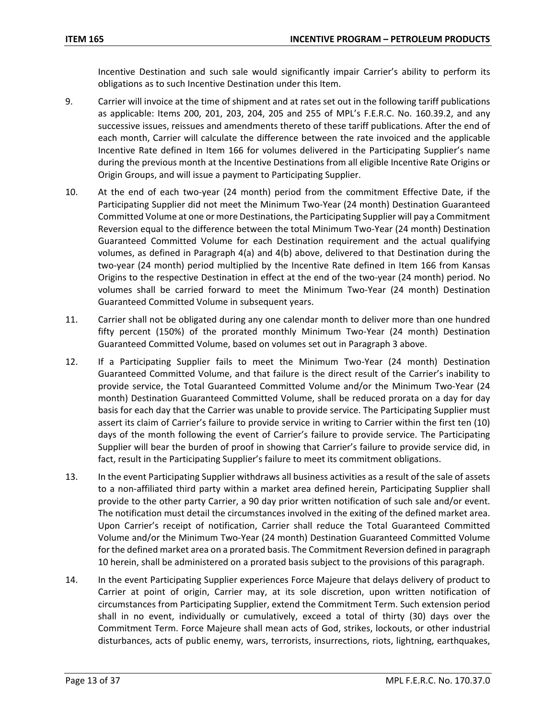Incentive Destination and such sale would significantly impair Carrier's ability to perform its obligations as to such Incentive Destination under this Item.

- 9. Carrier will invoice at the time of shipment and at rates set out in the following tariff publications as applicable: Items 200, 201, 203, 204, 205 and 255 of MPL's F.E.R.C. No. 160.39.2, and any successive issues, reissues and amendments thereto of these tariff publications. After the end of each month, Carrier will calculate the difference between the rate invoiced and the applicable Incentive Rate defined in Item 166 for volumes delivered in the Participating Supplier's name during the previous month at the Incentive Destinations from all eligible Incentive Rate Origins or Origin Groups, and will issue a payment to Participating Supplier.
- 10. At the end of each two-year (24 month) period from the commitment Effective Date, if the Participating Supplier did not meet the Minimum Two-Year (24 month) Destination Guaranteed Committed Volume at one or more Destinations, the Participating Supplier will pay a Commitment Reversion equal to the difference between the total Minimum Two-Year (24 month) Destination Guaranteed Committed Volume for each Destination requirement and the actual qualifying volumes, as defined in Paragraph 4(a) and 4(b) above, delivered to that Destination during the two-year (24 month) period multiplied by the Incentive Rate defined in Item 166 from Kansas Origins to the respective Destination in effect at the end of the two-year (24 month) period. No volumes shall be carried forward to meet the Minimum Two-Year (24 month) Destination Guaranteed Committed Volume in subsequent years.
- 11. Carrier shall not be obligated during any one calendar month to deliver more than one hundred fifty percent (150%) of the prorated monthly Minimum Two-Year (24 month) Destination Guaranteed Committed Volume, based on volumes set out in Paragraph 3 above.
- 12. If a Participating Supplier fails to meet the Minimum Two-Year (24 month) Destination Guaranteed Committed Volume, and that failure is the direct result of the Carrier's inability to provide service, the Total Guaranteed Committed Volume and/or the Minimum Two-Year (24 month) Destination Guaranteed Committed Volume, shall be reduced prorata on a day for day basis for each day that the Carrier was unable to provide service. The Participating Supplier must assert its claim of Carrier's failure to provide service in writing to Carrier within the first ten (10) days of the month following the event of Carrier's failure to provide service. The Participating Supplier will bear the burden of proof in showing that Carrier's failure to provide service did, in fact, result in the Participating Supplier's failure to meet its commitment obligations.
- 13. In the event Participating Supplier withdraws all business activities as a result of the sale of assets to a non-affiliated third party within a market area defined herein, Participating Supplier shall provide to the other party Carrier, a 90 day prior written notification of such sale and/or event. The notification must detail the circumstances involved in the exiting of the defined market area. Upon Carrier's receipt of notification, Carrier shall reduce the Total Guaranteed Committed Volume and/or the Minimum Two-Year (24 month) Destination Guaranteed Committed Volume for the defined market area on a prorated basis. The Commitment Reversion defined in paragraph 10 herein, shall be administered on a prorated basis subject to the provisions of this paragraph.
- 14. In the event Participating Supplier experiences Force Majeure that delays delivery of product to Carrier at point of origin, Carrier may, at its sole discretion, upon written notification of circumstances from Participating Supplier, extend the Commitment Term. Such extension period shall in no event, individually or cumulatively, exceed a total of thirty (30) days over the Commitment Term. Force Majeure shall mean acts of God, strikes, lockouts, or other industrial disturbances, acts of public enemy, wars, terrorists, insurrections, riots, lightning, earthquakes,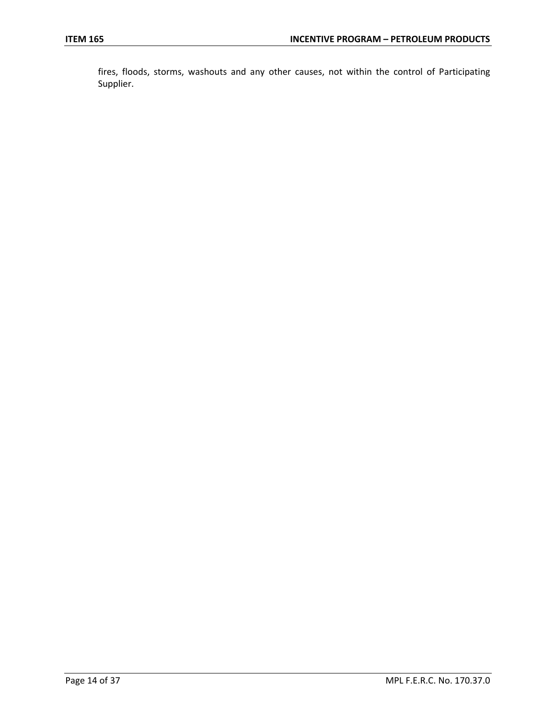fires, floods, storms, washouts and any other causes, not within the control of Participating Supplier.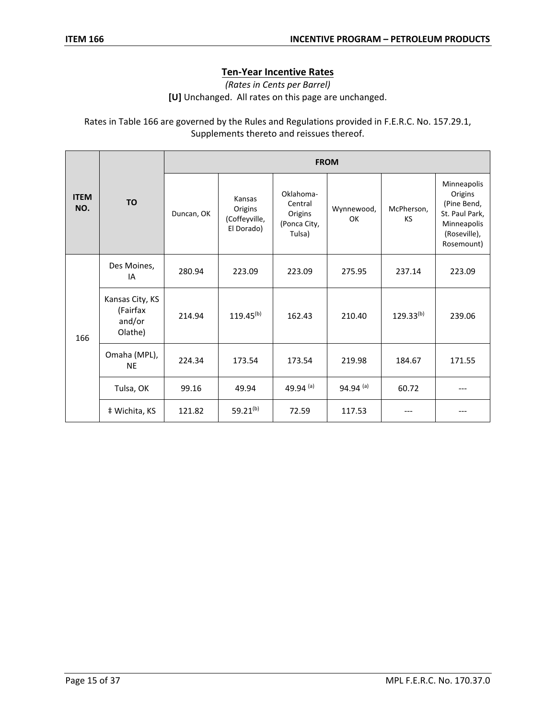# **Ten-Year Incentive Rates**

*(Rates in Cents per Barrel)* **[U]** Unchanged. All rates on this page are unchanged.

Rates in Table 166 are governed by the Rules and Regulations provided in F.E.R.C. No. 157.29.1, Supplements thereto and reissues thereof.

|                    |                                                  | <b>FROM</b> |                                                  |                                                           |                  |                         |                                                                                                      |
|--------------------|--------------------------------------------------|-------------|--------------------------------------------------|-----------------------------------------------------------|------------------|-------------------------|------------------------------------------------------------------------------------------------------|
| <b>ITEM</b><br>NO. | <b>TO</b>                                        | Duncan, OK  | Kansas<br>Origins<br>(Coffeyville,<br>El Dorado) | Oklahoma-<br>Central<br>Origins<br>(Ponca City,<br>Tulsa) | Wynnewood,<br>OK | McPherson,<br><b>KS</b> | Minneapolis<br>Origins<br>(Pine Bend,<br>St. Paul Park,<br>Minneapolis<br>(Roseville),<br>Rosemount) |
| 166                | Des Moines,<br>IA                                | 280.94      | 223.09                                           | 223.09                                                    | 275.95           | 237.14                  | 223.09                                                                                               |
|                    | Kansas City, KS<br>(Fairfax<br>and/or<br>Olathe) | 214.94      | $119.45^{(b)}$                                   | 162.43                                                    | 210.40           | $129.33^{(b)}$          | 239.06                                                                                               |
|                    | Omaha (MPL),<br><b>NE</b>                        | 224.34      | 173.54                                           | 173.54                                                    | 219.98           | 184.67                  | 171.55                                                                                               |
|                    | Tulsa, OK                                        | 99.16       | 49.94                                            | 49.94 (a)                                                 | 94.94 $(a)$      | 60.72                   |                                                                                                      |
|                    | # Wichita, KS                                    | 121.82      | 59.21 <sup>(b)</sup>                             | 72.59                                                     | 117.53           |                         |                                                                                                      |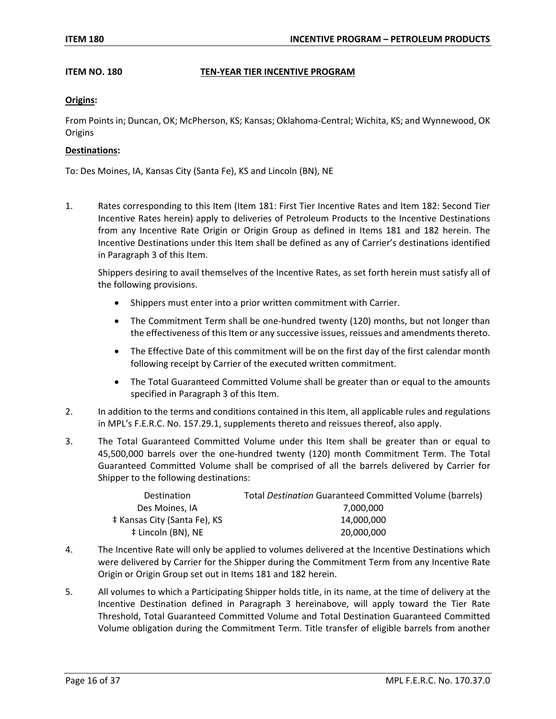#### **ITEM NO. 180 TEN-YEAR TIER INCENTIVE PROGRAM**

#### **Origins:**

From Points in; Duncan, OK; McPherson, KS; Kansas; Oklahoma-Central; Wichita, KS; and Wynnewood, OK **Origins** 

#### **Destinations:**

To: Des Moines, IA, Kansas City (Santa Fe), KS and Lincoln (BN), NE

1. Rates corresponding to this Item (Item 181: First Tier Incentive Rates and Item 182: Second Tier Incentive Rates herein) apply to deliveries of Petroleum Products to the Incentive Destinations from any Incentive Rate Origin or Origin Group as defined in Items 181 and 182 herein. The Incentive Destinations under this Item shall be defined as any of Carrier's destinations identified in Paragraph 3 of this Item.

Shippers desiring to avail themselves of the Incentive Rates, as set forth herein must satisfy all of the following provisions.

- Shippers must enter into a prior written commitment with Carrier.
- The Commitment Term shall be one-hundred twenty (120) months, but not longer than the effectiveness of this Item or any successive issues, reissues and amendments thereto.
- The Effective Date of this commitment will be on the first day of the first calendar month following receipt by Carrier of the executed written commitment.
- The Total Guaranteed Committed Volume shall be greater than or equal to the amounts specified in Paragraph 3 of this Item.
- 2. In addition to the terms and conditions contained in this Item, all applicable rules and regulations in MPL's F.E.R.C. No. 157.29.1, supplements thereto and reissues thereof, also apply.
- 3. The Total Guaranteed Committed Volume under this Item shall be greater than or equal to 45,500,000 barrels over the one-hundred twenty (120) month Commitment Term. The Total Guaranteed Committed Volume shall be comprised of all the barrels delivered by Carrier for Shipper to the following destinations:

| Destination                  | Total Destination Guaranteed Committed Volume (barrels) |
|------------------------------|---------------------------------------------------------|
| Des Moines, IA               | 7.000.000                                               |
| ‡ Kansas City (Santa Fe), KS | 14.000.000                                              |
| ‡ Lincoln (BN), NE           | 20,000,000                                              |

- 4. The Incentive Rate will only be applied to volumes delivered at the Incentive Destinations which were delivered by Carrier for the Shipper during the Commitment Term from any Incentive Rate Origin or Origin Group set out in Items 181 and 182 herein.
- 5. All volumes to which a Participating Shipper holds title, in its name, at the time of delivery at the Incentive Destination defined in Paragraph 3 hereinabove, will apply toward the Tier Rate Threshold, Total Guaranteed Committed Volume and Total Destination Guaranteed Committed Volume obligation during the Commitment Term. Title transfer of eligible barrels from another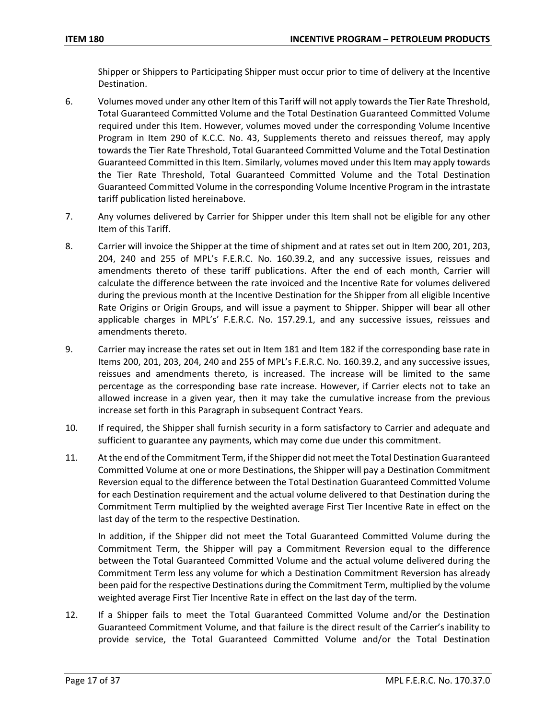Shipper or Shippers to Participating Shipper must occur prior to time of delivery at the Incentive Destination.

- 6. Volumes moved under any other Item of this Tariff will not apply towards the Tier Rate Threshold, Total Guaranteed Committed Volume and the Total Destination Guaranteed Committed Volume required under this Item. However, volumes moved under the corresponding Volume Incentive Program in Item 290 of K.C.C. No. 43, Supplements thereto and reissues thereof, may apply towards the Tier Rate Threshold, Total Guaranteed Committed Volume and the Total Destination Guaranteed Committed in this Item. Similarly, volumes moved under this Item may apply towards the Tier Rate Threshold, Total Guaranteed Committed Volume and the Total Destination Guaranteed Committed Volume in the corresponding Volume Incentive Program in the intrastate tariff publication listed hereinabove.
- 7. Any volumes delivered by Carrier for Shipper under this Item shall not be eligible for any other Item of this Tariff.
- 8. Carrier will invoice the Shipper at the time of shipment and at rates set out in Item 200, 201, 203, 204, 240 and 255 of MPL's F.E.R.C. No. 160.39.2, and any successive issues, reissues and amendments thereto of these tariff publications. After the end of each month, Carrier will calculate the difference between the rate invoiced and the Incentive Rate for volumes delivered during the previous month at the Incentive Destination for the Shipper from all eligible Incentive Rate Origins or Origin Groups, and will issue a payment to Shipper. Shipper will bear all other applicable charges in MPL's' F.E.R.C. No. 157.29.1, and any successive issues, reissues and amendments thereto.
- 9. Carrier may increase the rates set out in Item 181 and Item 182 if the corresponding base rate in Items 200, 201, 203, 204, 240 and 255 of MPL's F.E.R.C. No. 160.39.2, and any successive issues, reissues and amendments thereto, is increased. The increase will be limited to the same percentage as the corresponding base rate increase. However, if Carrier elects not to take an allowed increase in a given year, then it may take the cumulative increase from the previous increase set forth in this Paragraph in subsequent Contract Years.
- 10. If required, the Shipper shall furnish security in a form satisfactory to Carrier and adequate and sufficient to guarantee any payments, which may come due under this commitment.
- 11. At the end of the Commitment Term, if the Shipper did not meet the Total Destination Guaranteed Committed Volume at one or more Destinations, the Shipper will pay a Destination Commitment Reversion equal to the difference between the Total Destination Guaranteed Committed Volume for each Destination requirement and the actual volume delivered to that Destination during the Commitment Term multiplied by the weighted average First Tier Incentive Rate in effect on the last day of the term to the respective Destination.

In addition, if the Shipper did not meet the Total Guaranteed Committed Volume during the Commitment Term, the Shipper will pay a Commitment Reversion equal to the difference between the Total Guaranteed Committed Volume and the actual volume delivered during the Commitment Term less any volume for which a Destination Commitment Reversion has already been paid for the respective Destinations during the Commitment Term, multiplied by the volume weighted average First Tier Incentive Rate in effect on the last day of the term.

12. If a Shipper fails to meet the Total Guaranteed Committed Volume and/or the Destination Guaranteed Commitment Volume, and that failure is the direct result of the Carrier's inability to provide service, the Total Guaranteed Committed Volume and/or the Total Destination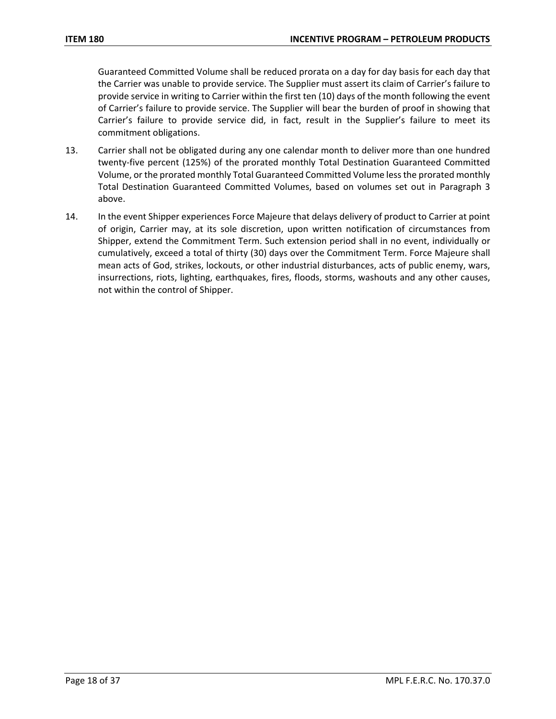Guaranteed Committed Volume shall be reduced prorata on a day for day basis for each day that the Carrier was unable to provide service. The Supplier must assert its claim of Carrier's failure to provide service in writing to Carrier within the first ten (10) days of the month following the event of Carrier's failure to provide service. The Supplier will bear the burden of proof in showing that Carrier's failure to provide service did, in fact, result in the Supplier's failure to meet its commitment obligations.

- 13. Carrier shall not be obligated during any one calendar month to deliver more than one hundred twenty-five percent (125%) of the prorated monthly Total Destination Guaranteed Committed Volume, or the prorated monthly Total Guaranteed Committed Volume less the prorated monthly Total Destination Guaranteed Committed Volumes, based on volumes set out in Paragraph 3 above.
- 14. In the event Shipper experiences Force Majeure that delays delivery of product to Carrier at point of origin, Carrier may, at its sole discretion, upon written notification of circumstances from Shipper, extend the Commitment Term. Such extension period shall in no event, individually or cumulatively, exceed a total of thirty (30) days over the Commitment Term. Force Majeure shall mean acts of God, strikes, lockouts, or other industrial disturbances, acts of public enemy, wars, insurrections, riots, lighting, earthquakes, fires, floods, storms, washouts and any other causes, not within the control of Shipper.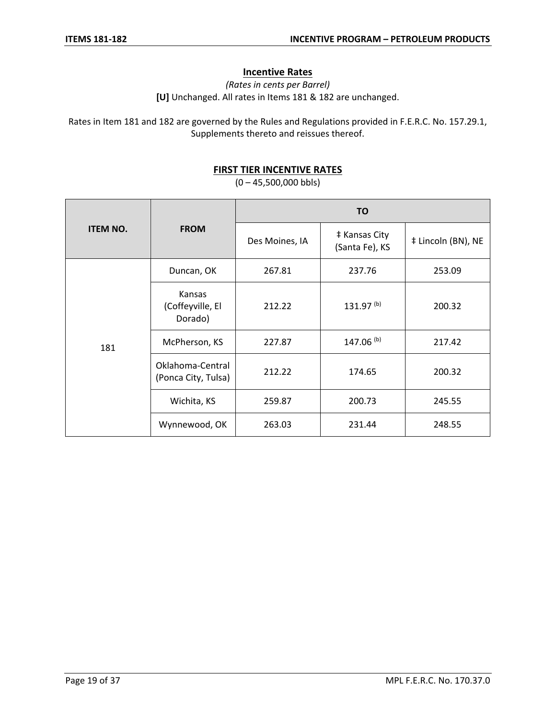# **Incentive Rates**

*(Rates in cents per Barrel)* **[U]** Unchanged. All rates in Items 181 & 182 are unchanged.

Rates in Item 181 and 182 are governed by the Rules and Regulations provided in F.E.R.C. No. 157.29.1, Supplements thereto and reissues thereof.

## **FIRST TIER INCENTIVE RATES**

 $(0 - 45,500,000 \text{ b}$ 

|                 |                                         | <b>TO</b>      |                                 |                    |  |
|-----------------|-----------------------------------------|----------------|---------------------------------|--------------------|--|
| <b>ITEM NO.</b> | <b>FROM</b>                             | Des Moines, IA | ‡ Kansas City<br>(Santa Fe), KS | # Lincoln (BN), NE |  |
|                 | Duncan, OK                              | 267.81         | 237.76                          | 253.09             |  |
|                 | Kansas<br>(Coffeyville, El<br>Dorado)   | 212.22         | 131.97 <sup>(b)</sup>           | 200.32             |  |
| 181             | McPherson, KS                           | 227.87         | 147.06 <sup>(b)</sup>           | 217.42             |  |
|                 | Oklahoma-Central<br>(Ponca City, Tulsa) | 212.22         | 174.65                          | 200.32             |  |
|                 | Wichita, KS                             | 259.87         | 200.73                          | 245.55             |  |
|                 | Wynnewood, OK                           | 263.03         | 231.44                          | 248.55             |  |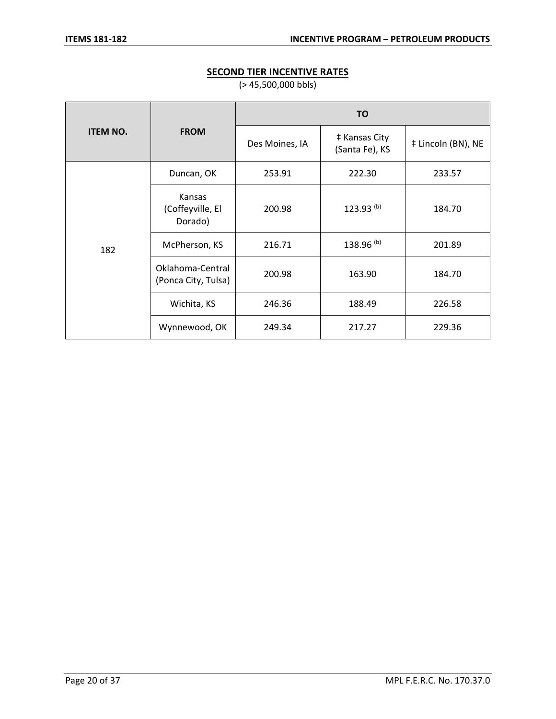# **ITEM NO. FROM TO** Des Moines, IA <br>(Santa Fe), KS  $\ddagger$  Lincoln (BN), NE 182 Duncan, OK | 253.91 | 222.30 | 233.57 Kansas (Coffeyville, El Dorado) 200.98 | 123.93<sup>(b)</sup> | 184.70 McPherson, KS | 216.71 | 138.96 <sup>(b)</sup> | 201.89 Oklahoma-Central Okianoma-Central 200.98 163.90 184.70 Wichita, KS | 246.36 | 188.49 | 226.58 Wynnewood, OK | 249.34 | 217.27 | 229.36

# **SECOND TIER INCENTIVE RATES**

(> 45,500,000 bbls)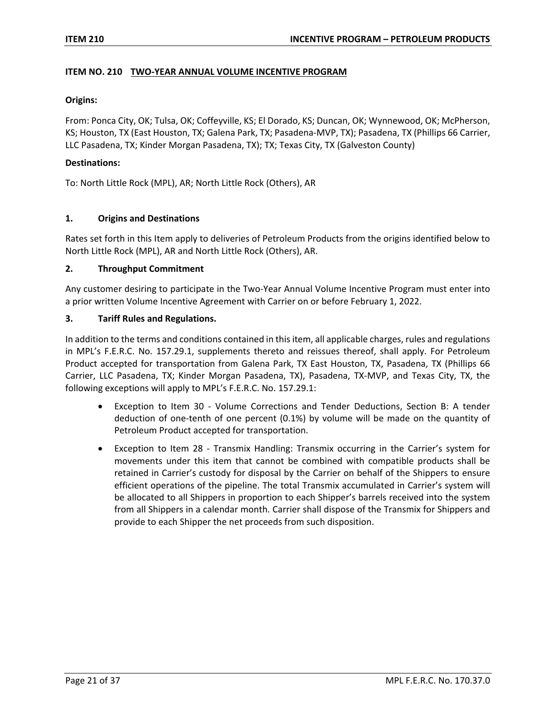#### **ITEM NO. 210 TWO-YEAR ANNUAL VOLUME INCENTIVE PROGRAM**

#### **Origins:**

From: Ponca City, OK; Tulsa, OK; Coffeyville, KS; El Dorado, KS; Duncan, OK; Wynnewood, OK; McPherson, KS; Houston, TX (East Houston, TX; Galena Park, TX; Pasadena-MVP, TX); Pasadena, TX (Phillips 66 Carrier, LLC Pasadena, TX; Kinder Morgan Pasadena, TX); TX; Texas City, TX (Galveston County)

#### **Destinations:**

To: North Little Rock (MPL), AR; North Little Rock (Others), AR

#### **1. Origins and Destinations**

Rates set forth in this Item apply to deliveries of Petroleum Products from the origins identified below to North Little Rock (MPL), AR and North Little Rock (Others), AR.

#### **2. Throughput Commitment**

Any customer desiring to participate in the Two-Year Annual Volume Incentive Program must enter into a prior written Volume Incentive Agreement with Carrier on or before February 1, 2022.

#### **3. Tariff Rules and Regulations.**

In addition to the terms and conditions contained in this item, all applicable charges, rules and regulations in MPL's F.E.R.C. No. 157.29.1, supplements thereto and reissues thereof, shall apply. For Petroleum Product accepted for transportation from Galena Park, TX East Houston, TX, Pasadena, TX (Phillips 66 Carrier, LLC Pasadena, TX; Kinder Morgan Pasadena, TX), Pasadena, TX-MVP, and Texas City, TX, the following exceptions will apply to MPL's F.E.R.C. No. 157.29.1:

- Exception to Item 30 Volume Corrections and Tender Deductions, Section B: A tender deduction of one-tenth of one percent (0.1%) by volume will be made on the quantity of Petroleum Product accepted for transportation.
- Exception to Item 28 Transmix Handling: Transmix occurring in the Carrier's system for movements under this item that cannot be combined with compatible products shall be retained in Carrier's custody for disposal by the Carrier on behalf of the Shippers to ensure efficient operations of the pipeline. The total Transmix accumulated in Carrier's system will be allocated to all Shippers in proportion to each Shipper's barrels received into the system from all Shippers in a calendar month. Carrier shall dispose of the Transmix for Shippers and provide to each Shipper the net proceeds from such disposition.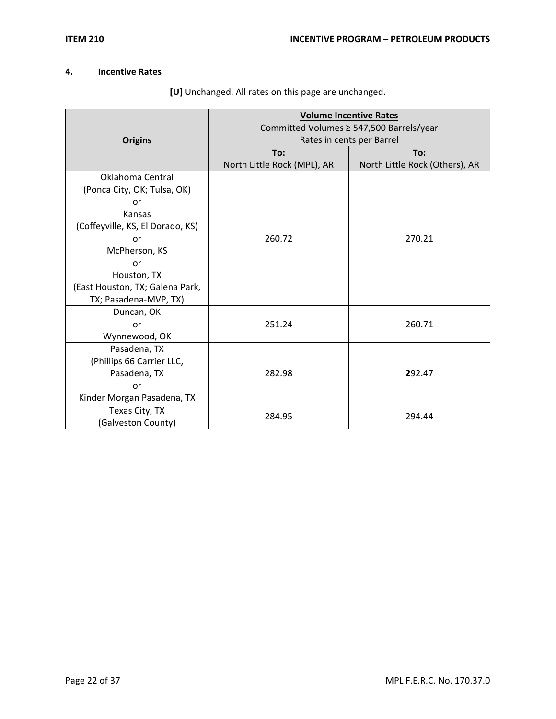# **4. Incentive Rates**

|                                  | <b>Volume Incentive Rates</b><br>Committed Volumes ≥ 547,500 Barrels/year |                                |  |  |
|----------------------------------|---------------------------------------------------------------------------|--------------------------------|--|--|
| <b>Origins</b>                   |                                                                           | Rates in cents per Barrel      |  |  |
|                                  | To:                                                                       | To:                            |  |  |
|                                  | North Little Rock (MPL), AR                                               | North Little Rock (Others), AR |  |  |
| Oklahoma Central                 |                                                                           |                                |  |  |
| (Ponca City, OK; Tulsa, OK)      |                                                                           |                                |  |  |
| or                               |                                                                           |                                |  |  |
| Kansas                           |                                                                           |                                |  |  |
| (Coffeyville, KS, El Dorado, KS) |                                                                           |                                |  |  |
| or                               | 260.72                                                                    | 270.21                         |  |  |
| McPherson, KS                    |                                                                           |                                |  |  |
| or                               |                                                                           |                                |  |  |
| Houston, TX                      |                                                                           |                                |  |  |
| (East Houston, TX; Galena Park,  |                                                                           |                                |  |  |
| TX; Pasadena-MVP, TX)            |                                                                           |                                |  |  |
| Duncan, OK                       |                                                                           |                                |  |  |
| or                               | 251.24                                                                    | 260.71                         |  |  |
| Wynnewood, OK                    |                                                                           |                                |  |  |
| Pasadena, TX                     |                                                                           |                                |  |  |
| (Phillips 66 Carrier LLC,        |                                                                           |                                |  |  |
| Pasadena, TX                     | 282.98                                                                    | 292.47                         |  |  |
| or                               |                                                                           |                                |  |  |
| Kinder Morgan Pasadena, TX       |                                                                           |                                |  |  |
| Texas City, TX                   | 284.95                                                                    |                                |  |  |
| (Galveston County)               |                                                                           | 294.44                         |  |  |

**[U]** Unchanged. All rates on this page are unchanged.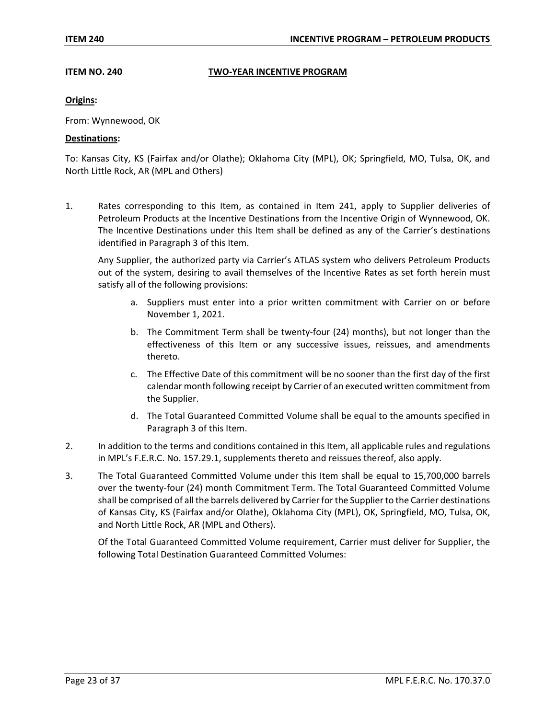#### **ITEM NO. 240 TWO-YEAR INCENTIVE PROGRAM**

#### **Origins:**

From: Wynnewood, OK

#### **Destinations:**

To: Kansas City, KS (Fairfax and/or Olathe); Oklahoma City (MPL), OK; Springfield, MO, Tulsa, OK, and North Little Rock, AR (MPL and Others)

1. Rates corresponding to this Item, as contained in Item 241, apply to Supplier deliveries of Petroleum Products at the Incentive Destinations from the Incentive Origin of Wynnewood, OK. The Incentive Destinations under this Item shall be defined as any of the Carrier's destinations identified in Paragraph 3 of this Item.

Any Supplier, the authorized party via Carrier's ATLAS system who delivers Petroleum Products out of the system, desiring to avail themselves of the Incentive Rates as set forth herein must satisfy all of the following provisions:

- a. Suppliers must enter into a prior written commitment with Carrier on or before November 1, 2021.
- b. The Commitment Term shall be twenty-four (24) months), but not longer than the effectiveness of this Item or any successive issues, reissues, and amendments thereto.
- c. The Effective Date of this commitment will be no sooner than the first day of the first calendar month following receipt by Carrier of an executed written commitment from the Supplier.
- d. The Total Guaranteed Committed Volume shall be equal to the amounts specified in Paragraph 3 of this Item.
- 2. In addition to the terms and conditions contained in this Item, all applicable rules and regulations in MPL's F.E.R.C. No. 157.29.1, supplements thereto and reissues thereof, also apply.
- 3. The Total Guaranteed Committed Volume under this Item shall be equal to 15,700,000 barrels over the twenty-four (24) month Commitment Term. The Total Guaranteed Committed Volume shall be comprised of all the barrels delivered by Carrier for the Supplier to the Carrier destinations of Kansas City, KS (Fairfax and/or Olathe), Oklahoma City (MPL), OK, Springfield, MO, Tulsa, OK, and North Little Rock, AR (MPL and Others).

Of the Total Guaranteed Committed Volume requirement, Carrier must deliver for Supplier, the following Total Destination Guaranteed Committed Volumes: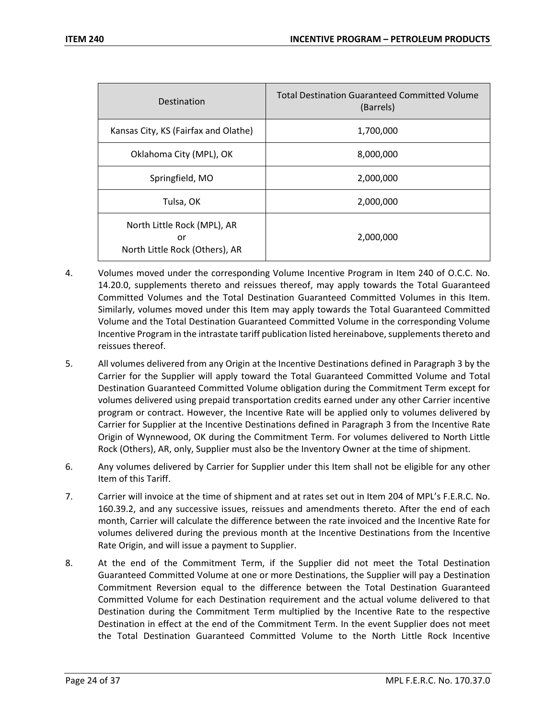| Destination                                                         | <b>Total Destination Guaranteed Committed Volume</b><br>(Barrels) |
|---------------------------------------------------------------------|-------------------------------------------------------------------|
| Kansas City, KS (Fairfax and Olathe)                                | 1,700,000                                                         |
| Oklahoma City (MPL), OK                                             | 8,000,000                                                         |
| Springfield, MO                                                     | 2,000,000                                                         |
| Tulsa, OK                                                           | 2,000,000                                                         |
| North Little Rock (MPL), AR<br>or<br>North Little Rock (Others), AR | 2,000,000                                                         |

- 4. Volumes moved under the corresponding Volume Incentive Program in Item 240 of O.C.C. No. 14.20.0, supplements thereto and reissues thereof, may apply towards the Total Guaranteed Committed Volumes and the Total Destination Guaranteed Committed Volumes in this Item. Similarly, volumes moved under this Item may apply towards the Total Guaranteed Committed Volume and the Total Destination Guaranteed Committed Volume in the corresponding Volume Incentive Program in the intrastate tariff publication listed hereinabove, supplements thereto and reissues thereof.
- 5. All volumes delivered from any Origin at the Incentive Destinations defined in Paragraph 3 by the Carrier for the Supplier will apply toward the Total Guaranteed Committed Volume and Total Destination Guaranteed Committed Volume obligation during the Commitment Term except for volumes delivered using prepaid transportation credits earned under any other Carrier incentive program or contract. However, the Incentive Rate will be applied only to volumes delivered by Carrier for Supplier at the Incentive Destinations defined in Paragraph 3 from the Incentive Rate Origin of Wynnewood, OK during the Commitment Term. For volumes delivered to North Little Rock (Others), AR, only, Supplier must also be the Inventory Owner at the time of shipment.
- 6. Any volumes delivered by Carrier for Supplier under this Item shall not be eligible for any other Item of this Tariff.
- 7. Carrier will invoice at the time of shipment and at rates set out in Item 204 of MPL's F.E.R.C. No. 160.39.2, and any successive issues, reissues and amendments thereto. After the end of each month, Carrier will calculate the difference between the rate invoiced and the Incentive Rate for volumes delivered during the previous month at the Incentive Destinations from the Incentive Rate Origin, and will issue a payment to Supplier.
- 8. At the end of the Commitment Term, if the Supplier did not meet the Total Destination Guaranteed Committed Volume at one or more Destinations, the Supplier will pay a Destination Commitment Reversion equal to the difference between the Total Destination Guaranteed Committed Volume for each Destination requirement and the actual volume delivered to that Destination during the Commitment Term multiplied by the Incentive Rate to the respective Destination in effect at the end of the Commitment Term. In the event Supplier does not meet the Total Destination Guaranteed Committed Volume to the North Little Rock Incentive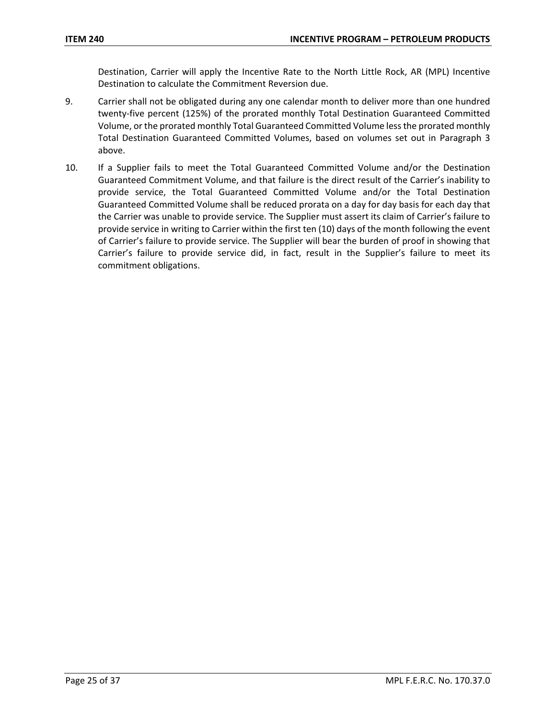Destination, Carrier will apply the Incentive Rate to the North Little Rock, AR (MPL) Incentive Destination to calculate the Commitment Reversion due.

- 9. Carrier shall not be obligated during any one calendar month to deliver more than one hundred twenty-five percent (125%) of the prorated monthly Total Destination Guaranteed Committed Volume, or the prorated monthly Total Guaranteed Committed Volume less the prorated monthly Total Destination Guaranteed Committed Volumes, based on volumes set out in Paragraph 3 above.
- 10. If a Supplier fails to meet the Total Guaranteed Committed Volume and/or the Destination Guaranteed Commitment Volume, and that failure is the direct result of the Carrier's inability to provide service, the Total Guaranteed Committed Volume and/or the Total Destination Guaranteed Committed Volume shall be reduced prorata on a day for day basis for each day that the Carrier was unable to provide service. The Supplier must assert its claim of Carrier's failure to provide service in writing to Carrier within the first ten (10) days of the month following the event of Carrier's failure to provide service. The Supplier will bear the burden of proof in showing that Carrier's failure to provide service did, in fact, result in the Supplier's failure to meet its commitment obligations.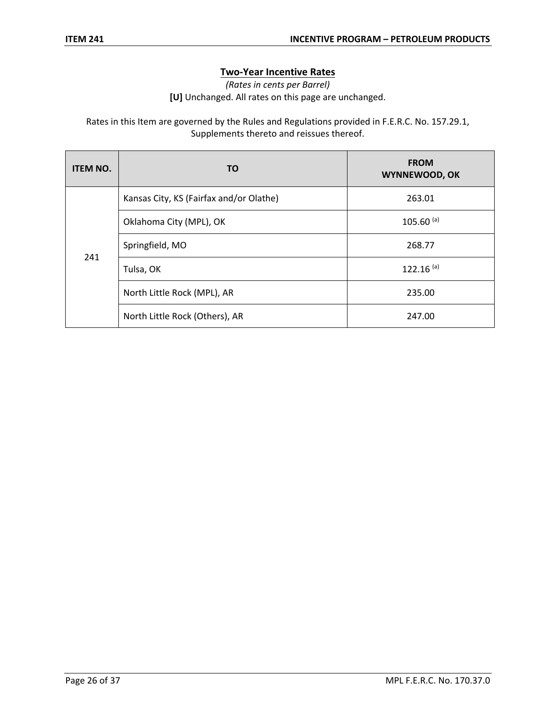# **Two-Year Incentive Rates**

*(Rates in cents per Barrel)*

**[U]** Unchanged. All rates on this page are unchanged.

Rates in this Item are governed by the Rules and Regulations provided in F.E.R.C. No. 157.29.1, Supplements thereto and reissues thereof.

| <b>ITEM NO.</b> | ΤO                                      | <b>FROM</b><br>WYNNEWOOD, OK |
|-----------------|-----------------------------------------|------------------------------|
| 241             | Kansas City, KS (Fairfax and/or Olathe) | 263.01                       |
|                 | Oklahoma City (MPL), OK                 | $105.60$ <sup>(a)</sup>      |
|                 | Springfield, MO                         | 268.77                       |
|                 | Tulsa, OK                               | $122.16^{(a)}$               |
|                 | North Little Rock (MPL), AR             | 235.00                       |
|                 | North Little Rock (Others), AR          | 247.00                       |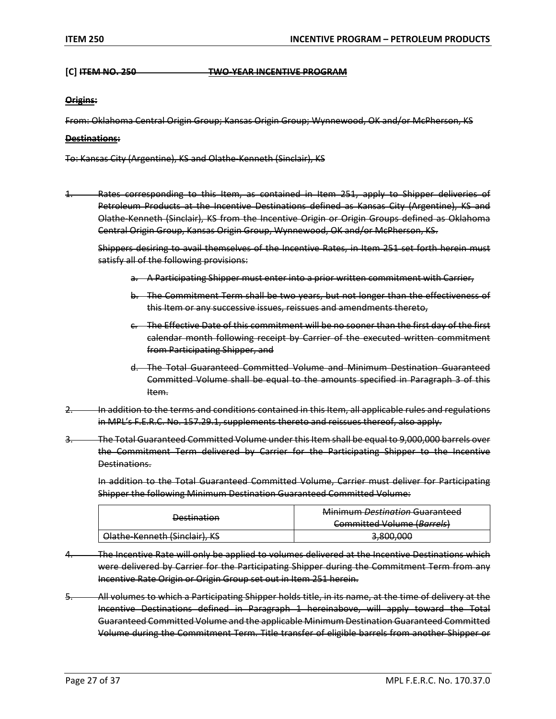#### **[C] ITEM NO. 250 TWO-YEAR INCENTIVE PROGRAM**

#### **Origins:**

From: Oklahoma Central Origin Group; Kansas Origin Group; Wynnewood, OK and/or McPherson, KS

#### **Destinations:**

To: Kansas City (Argentine), KS and Olathe-Kenneth (Sinclair), KS

1. Rates corresponding to this Item, as contained in Item 251, apply to Shipper deliveries of Petroleum Products at the Incentive Destinations defined as Kansas City (Argentine), KS and Olathe-Kenneth (Sinclair), KS from the Incentive Origin or Origin Groups defined as Oklahoma Central Origin Group, Kansas Origin Group, Wynnewood, OK and/or McPherson, KS.

Shippers desiring to avail themselves of the Incentive Rates, in Item 251 set forth herein must satisfy all of the following provisions:

- a. A Participating Shipper must enter into a prior written commitment with Carrier,
- b. The Commitment Term shall be two years, but not longer than the effectiveness of this Item or any successive issues, reissues and amendments thereto,
- c. The Effective Date of this commitment will be no sooner than the first day of the first calendar month following receipt by Carrier of the executed written commitment from Participating Shipper, and
- d. The Total Guaranteed Committed Volume and Minimum Destination Guaranteed Committed Volume shall be equal to the amounts specified in Paragraph 3 of this Item.
- In addition to the terms and conditions contained in this Item, all applicable rules and regulations in MPL's F.E.R.C. No. 157.29.1, supplements thereto and reissues thereof, also apply.
- 3. The Total Guaranteed Committed Volume under this Item shall be equal to 9,000,000 barrels over the Commitment Term delivered by Carrier for the Participating Shipper to the Incentive Destinations.

In addition to the Total Guaranteed Committed Volume, Carrier must deliver for Participating Shipper the following Minimum Destination Guaranteed Committed Volume:

| <b>Dectination</b><br><del>vestmation</del> | Minimum Dectination Guaranteed<br><del>iviiiiiiiiiiii <i>b</i>estiiiutioii uuaranteeu</del><br>Committed Volume (Rarrels)<br><del>committed voidine (<i>burieis</i>)</del> |  |  |
|---------------------------------------------|----------------------------------------------------------------------------------------------------------------------------------------------------------------------------|--|--|
| Olathe-Kenneth (Sinclair), KS               | 2 RNA NAN<br><del>,,,,,,,,,,</del>                                                                                                                                         |  |  |

- The Incentive Rate will only be applied to volumes delivered at the Incentive Destinations which were delivered by Carrier for the Participating Shipper during the Commitment Term from any Incentive Rate Origin or Origin Group set out in Item 251 herein.
- 5. All volumes to which a Participating Shipper holds title, in its name, at the time of delivery at the Incentive Destinations defined in Paragraph 1 hereinabove, will apply toward the Total Guaranteed Committed Volume and the applicable Minimum Destination Guaranteed Committed Volume during the Commitment Term. Title transfer of eligible barrels from another Shipper or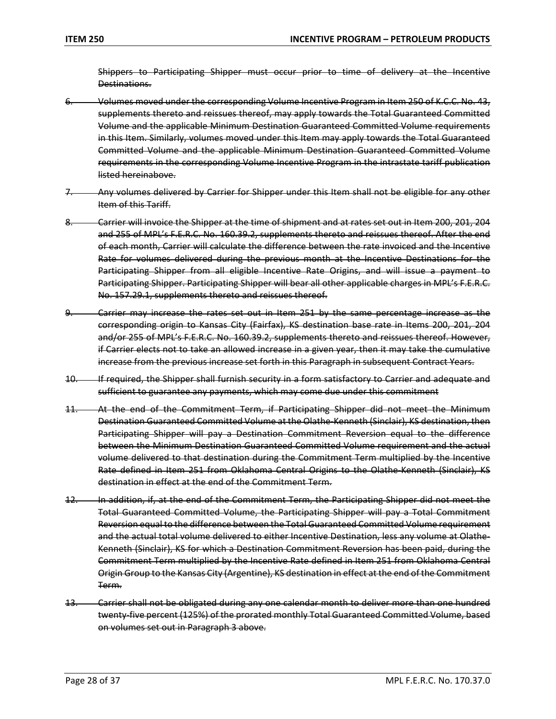Shippers to Participating Shipper must occur prior to time of delivery at the Incentive Destinations.

- 6. Volumes moved under the corresponding Volume Incentive Program in Item 250 of K.C.C. No. 43, supplements thereto and reissues thereof, may apply towards the Total Guaranteed Committed Volume and the applicable Minimum Destination Guaranteed Committed Volume requirements in this Item. Similarly, volumes moved under this Item may apply towards the Total Guaranteed Committed Volume and the applicable Minimum Destination Guaranteed Committed Volume requirements in the corresponding Volume Incentive Program in the intrastate tariff publication listed hereinabove.
- 7. Any volumes delivered by Carrier for Shipper under this Item shall not be eligible for any other Item of this Tariff.
- 8. Carrier will invoice the Shipper at the time of shipment and at rates set out in Item 200, 201, 204 and 255 of MPL's F.E.R.C. No. 160.39.2, supplements thereto and reissues thereof. After the end of each month, Carrier will calculate the difference between the rate invoiced and the Incentive Rate for volumes delivered during the previous month at the Incentive Destinations for the Participating Shipper from all eligible Incentive Rate Origins, and will issue a payment to Participating Shipper. Participating Shipper will bear all other applicable charges in MPL's F.E.R.C. No. 157.29.1, supplements thereto and reissues thereof.
- 9. Carrier may increase the rates set out in Item 251 by the same percentage increase as the corresponding origin to Kansas City (Fairfax), KS destination base rate in Items 200, 201, 204 and/or 255 of MPL's F.E.R.C. No. 160.39.2, supplements thereto and reissues thereof. However, if Carrier elects not to take an allowed increase in a given year, then it may take the cumulative increase from the previous increase set forth in this Paragraph in subsequent Contract Years.
- 10. If required, the Shipper shall furnish security in a form satisfactory to Carrier and adequate and sufficient to guarantee any payments, which may come due under this commitment
- 11. At the end of the Commitment Term, if Participating Shipper did not meet the Minimum Destination Guaranteed Committed Volume at the Olathe-Kenneth (Sinclair), KS destination, then Participating Shipper will pay a Destination Commitment Reversion equal to the difference between the Minimum Destination Guaranteed Committed Volume requirement and the actual volume delivered to that destination during the Commitment Term multiplied by the Incentive Rate defined in Item 251 from Oklahoma Central Origins to the Olathe-Kenneth (Sinclair), KS destination in effect at the end of the Commitment Term.
- 12. In addition, if, at the end of the Commitment Term, the Participating Shipper did not meet the Total Guaranteed Committed Volume, the Participating Shipper will pay a Total Commitment Reversion equal to the difference between the Total Guaranteed Committed Volume requirement and the actual total volume delivered to either Incentive Destination, less any volume at Olathe-Kenneth (Sinclair), KS for which a Destination Commitment Reversion has been paid, during the Commitment Term multiplied by the Incentive Rate defined in Item 251 from Oklahoma Central Origin Group to the Kansas City (Argentine), KS destination in effect at the end of the Commitment Term.
- 13. Carrier shall not be obligated during any one calendar month to deliver more than one hundred twenty-five percent (125%) of the prorated monthly Total Guaranteed Committed Volume, based on volumes set out in Paragraph 3 above.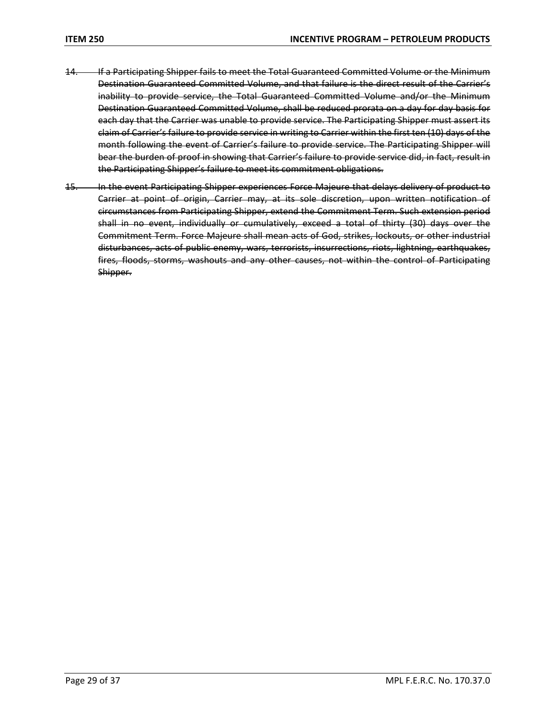- 14. If a Participating Shipper fails to meet the Total Guaranteed Committed Volume or the Minimum Destination Guaranteed Committed Volume, and that failure is the direct result of the Carrier's inability to provide service, the Total Guaranteed Committed Volume and/or the Minimum Destination Guaranteed Committed Volume, shall be reduced prorata on a day for day basis for each day that the Carrier was unable to provide service. The Participating Shipper must assert its claim of Carrier's failure to provide service in writing to Carrier within the first ten (10) days of the month following the event of Carrier's failure to provide service. The Participating Shipper will bear the burden of proof in showing that Carrier's failure to provide service did, in fact, result in the Participating Shipper's failure to meet its commitment obligations.
- 15. In the event Participating Shipper experiences Force Majeure that delays delivery of product to Carrier at point of origin, Carrier may, at its sole discretion, upon written notification of circumstances from Participating Shipper, extend the Commitment Term. Such extension period shall in no event, individually or cumulatively, exceed a total of thirty (30) days over the Commitment Term. Force Majeure shall mean acts of God, strikes, lockouts, or other industrial disturbances, acts of public enemy, wars, terrorists, insurrections, riots, lightning, earthquakes, fires, floods, storms, washouts and any other causes, not within the control of Participating Shipper.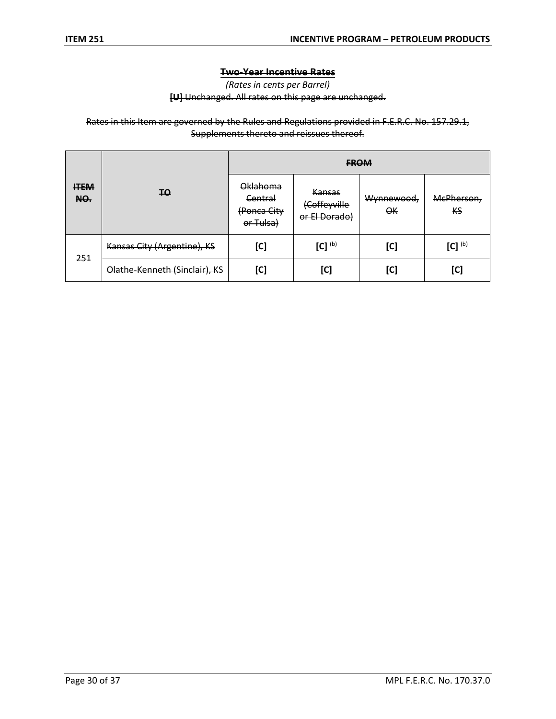## **Two-Year Incentive Rates**

*(Rates in cents per Barrel)*

**[U]** Unchanged. All rates on this page are unchanged.

Rates in this Item are governed by the Rules and Regulations provided in F.E.R.C. No. 157.29.1, Supplements thereto and reissues thereof.

|                    | <b>TO</b>                     | <b>FROM</b>                                     |                                                |                  |                              |
|--------------------|-------------------------------|-------------------------------------------------|------------------------------------------------|------------------|------------------------------|
| <b>ITEM</b><br>NO. |                               | Oklahoma<br>Central<br>(Ponca City<br>or Tulsa) | <b>Kansas</b><br>(Coffeyville<br>or El Dorado) | Wynnewood,<br>OК | McPherson,<br>КS             |
| 251                | Kansas City (Argentine), KS   | [C]                                             | $[C]^{(b)}$                                    | [C]              | [C] $^{\textrm{\tiny{(b)}}}$ |
|                    | Olathe-Kenneth (Sinclair), KS | [C]                                             | [C]                                            | [C]              | [C]                          |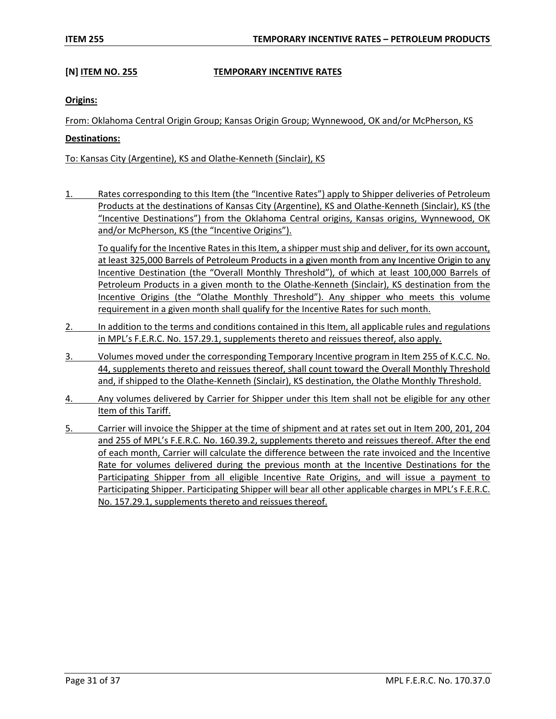### **[N] ITEM NO. 255 TEMPORARY INCENTIVE RATES**

#### **Origins:**

From: Oklahoma Central Origin Group; Kansas Origin Group; Wynnewood, OK and/or McPherson, KS

#### **Destinations:**

To: Kansas City (Argentine), KS and Olathe-Kenneth (Sinclair), KS

1. Rates corresponding to this Item (the "Incentive Rates") apply to Shipper deliveries of Petroleum Products at the destinations of Kansas City (Argentine), KS and Olathe-Kenneth (Sinclair), KS (the "Incentive Destinations") from the Oklahoma Central origins, Kansas origins, Wynnewood, OK and/or McPherson, KS (the "Incentive Origins").

To qualify for the Incentive Rates in this Item, a shipper mustship and deliver, for its own account, at least 325,000 Barrels of Petroleum Products in a given month from any Incentive Origin to any Incentive Destination (the "Overall Monthly Threshold"), of which at least 100,000 Barrels of Petroleum Products in a given month to the Olathe-Kenneth (Sinclair), KS destination from the Incentive Origins (the "Olathe Monthly Threshold"). Any shipper who meets this volume requirement in a given month shall qualify for the Incentive Rates for such month.

- 2. In addition to the terms and conditions contained in this Item, all applicable rules and regulations in MPL's F.E.R.C. No. 157.29.1, supplements thereto and reissues thereof, also apply.
- 3. Volumes moved under the corresponding Temporary Incentive program in Item 255 of K.C.C. No. 44, supplements thereto and reissues thereof, shall count toward the Overall Monthly Threshold and, if shipped to the Olathe-Kenneth (Sinclair), KS destination, the Olathe Monthly Threshold.
- 4. Any volumes delivered by Carrier for Shipper under this Item shall not be eligible for any other Item of this Tariff.
- 5. Carrier will invoice the Shipper at the time of shipment and at rates set out in Item 200, 201, 204 and 255 of MPL's F.E.R.C. No. 160.39.2, supplements thereto and reissues thereof. After the end of each month, Carrier will calculate the difference between the rate invoiced and the Incentive Rate for volumes delivered during the previous month at the Incentive Destinations for the Participating Shipper from all eligible Incentive Rate Origins, and will issue a payment to Participating Shipper. Participating Shipper will bear all other applicable charges in MPL's F.E.R.C. No. 157.29.1, supplements thereto and reissues thereof.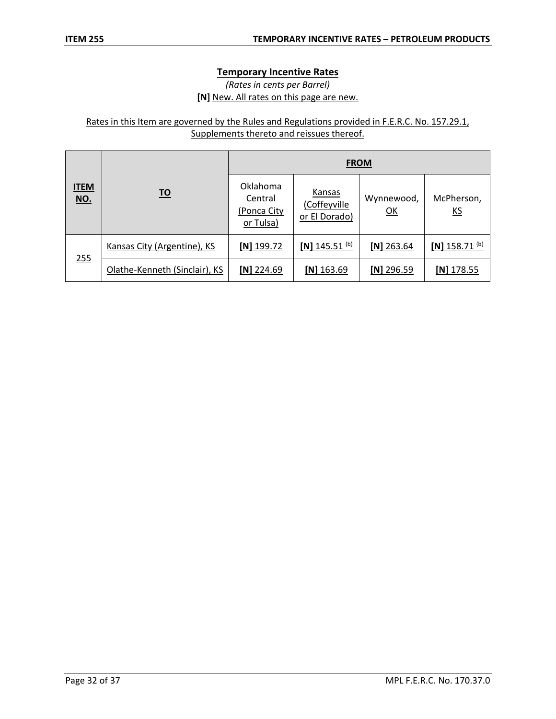### **Temporary Incentive Rates**

## *(Rates in cents per Barrel)* **[N]** New. All rates on this page are new.

# Rates in this Item are governed by the Rules and Regulations provided in F.E.R.C. No. 157.29.1, Supplements thereto and reissues thereof.

|                           | <u>TO</u>                     | <b>FROM</b>                                     |                                         |                  |                             |
|---------------------------|-------------------------------|-------------------------------------------------|-----------------------------------------|------------------|-----------------------------|
| <b>ITEM</b><br><u>NO.</u> |                               | Oklahoma<br>Central<br>(Ponca City<br>or Tulsa) | Kansas<br>(Coffeyville<br>or El Dorado) | Wynnewood,<br>QK | McPherson,<br><u>KS</u>     |
|                           | Kansas City (Argentine), KS   | $[N]$ 199.72                                    | $[N]$ 145.51 <sup>(b)</sup>             | [N] $263.64$     | $[N]$ 158.71 <sup>(b)</sup> |
| 255                       | Olathe-Kenneth (Sinclair), KS | $[N]$ 224.69                                    | $[N]$ 163.69                            | $[N]$ 296.59     | $[N]$ 178.55                |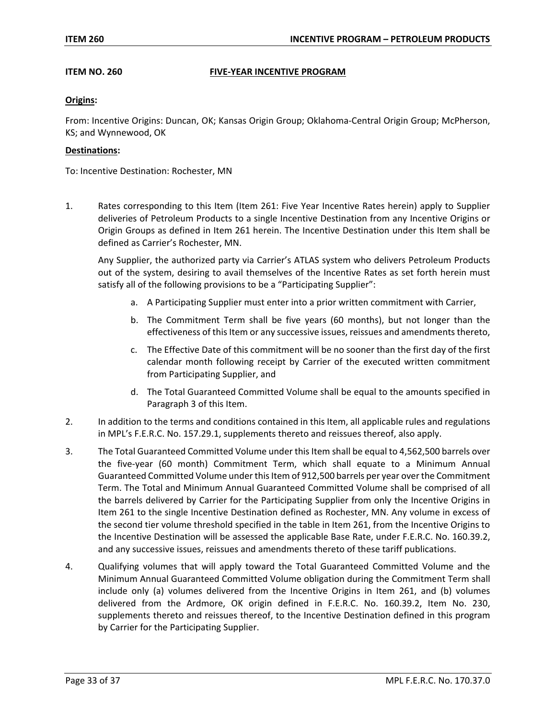#### **ITEM NO. 260 FIVE-YEAR INCENTIVE PROGRAM**

#### **Origins:**

From: Incentive Origins: Duncan, OK; Kansas Origin Group; Oklahoma-Central Origin Group; McPherson, KS; and Wynnewood, OK

#### **Destinations:**

To: Incentive Destination: Rochester, MN

1. Rates corresponding to this Item (Item 261: Five Year Incentive Rates herein) apply to Supplier deliveries of Petroleum Products to a single Incentive Destination from any Incentive Origins or Origin Groups as defined in Item 261 herein. The Incentive Destination under this Item shall be defined as Carrier's Rochester, MN.

Any Supplier, the authorized party via Carrier's ATLAS system who delivers Petroleum Products out of the system, desiring to avail themselves of the Incentive Rates as set forth herein must satisfy all of the following provisions to be a "Participating Supplier":

- a. A Participating Supplier must enter into a prior written commitment with Carrier,
- b. The Commitment Term shall be five years (60 months), but not longer than the effectiveness of this Item or any successive issues, reissues and amendments thereto,
- c. The Effective Date of this commitment will be no sooner than the first day of the first calendar month following receipt by Carrier of the executed written commitment from Participating Supplier, and
- d. The Total Guaranteed Committed Volume shall be equal to the amounts specified in Paragraph 3 of this Item.
- 2. In addition to the terms and conditions contained in this Item, all applicable rules and regulations in MPL's F.E.R.C. No. 157.29.1, supplements thereto and reissues thereof, also apply.
- 3. The Total Guaranteed Committed Volume under this Item shall be equal to 4,562,500 barrels over the five-year (60 month) Commitment Term, which shall equate to a Minimum Annual Guaranteed Committed Volume under this Item of 912,500 barrels per year over the Commitment Term. The Total and Minimum Annual Guaranteed Committed Volume shall be comprised of all the barrels delivered by Carrier for the Participating Supplier from only the Incentive Origins in Item 261 to the single Incentive Destination defined as Rochester, MN. Any volume in excess of the second tier volume threshold specified in the table in Item 261, from the Incentive Origins to the Incentive Destination will be assessed the applicable Base Rate, under F.E.R.C. No. 160.39.2, and any successive issues, reissues and amendments thereto of these tariff publications.
- 4. Qualifying volumes that will apply toward the Total Guaranteed Committed Volume and the Minimum Annual Guaranteed Committed Volume obligation during the Commitment Term shall include only (a) volumes delivered from the Incentive Origins in Item 261, and (b) volumes delivered from the Ardmore, OK origin defined in F.E.R.C. No. 160.39.2, Item No. 230, supplements thereto and reissues thereof, to the Incentive Destination defined in this program by Carrier for the Participating Supplier.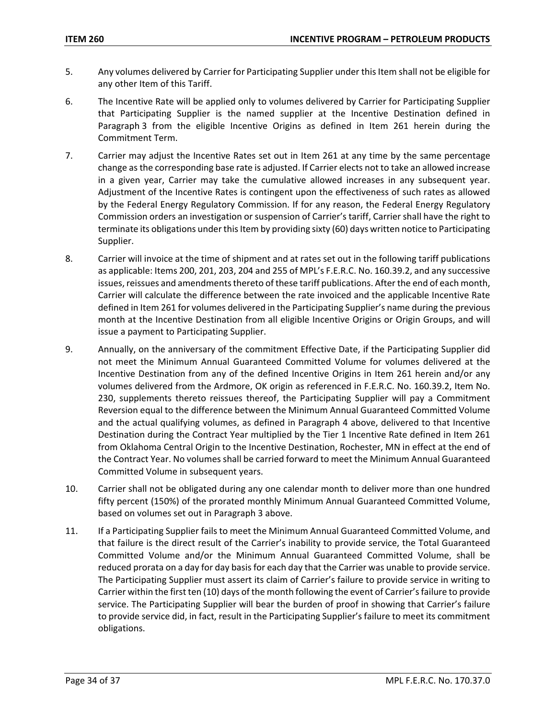- 5. Any volumes delivered by Carrier for Participating Supplier under this Item shall not be eligible for any other Item of this Tariff.
- 6. The Incentive Rate will be applied only to volumes delivered by Carrier for Participating Supplier that Participating Supplier is the named supplier at the Incentive Destination defined in Paragraph 3 from the eligible Incentive Origins as defined in Item 261 herein during the Commitment Term.
- 7. Carrier may adjust the Incentive Rates set out in Item 261 at any time by the same percentage change as the corresponding base rate is adjusted. If Carrier elects not to take an allowed increase in a given year, Carrier may take the cumulative allowed increases in any subsequent year. Adjustment of the Incentive Rates is contingent upon the effectiveness of such rates as allowed by the Federal Energy Regulatory Commission. If for any reason, the Federal Energy Regulatory Commission orders an investigation or suspension of Carrier's tariff, Carrier shall have the right to terminate its obligations under this Item by providing sixty (60) days written notice to Participating Supplier.
- 8. Carrier will invoice at the time of shipment and at rates set out in the following tariff publications as applicable: Items 200, 201, 203, 204 and 255 of MPL's F.E.R.C. No. 160.39.2, and any successive issues, reissues and amendments thereto of these tariff publications. After the end of each month, Carrier will calculate the difference between the rate invoiced and the applicable Incentive Rate defined in Item 261 for volumes delivered in the Participating Supplier's name during the previous month at the Incentive Destination from all eligible Incentive Origins or Origin Groups, and will issue a payment to Participating Supplier.
- 9. Annually, on the anniversary of the commitment Effective Date, if the Participating Supplier did not meet the Minimum Annual Guaranteed Committed Volume for volumes delivered at the Incentive Destination from any of the defined Incentive Origins in Item 261 herein and/or any volumes delivered from the Ardmore, OK origin as referenced in F.E.R.C. No. 160.39.2, Item No. 230, supplements thereto reissues thereof, the Participating Supplier will pay a Commitment Reversion equal to the difference between the Minimum Annual Guaranteed Committed Volume and the actual qualifying volumes, as defined in Paragraph 4 above, delivered to that Incentive Destination during the Contract Year multiplied by the Tier 1 Incentive Rate defined in Item 261 from Oklahoma Central Origin to the Incentive Destination, Rochester, MN in effect at the end of the Contract Year. No volumes shall be carried forward to meet the Minimum Annual Guaranteed Committed Volume in subsequent years.
- 10. Carrier shall not be obligated during any one calendar month to deliver more than one hundred fifty percent (150%) of the prorated monthly Minimum Annual Guaranteed Committed Volume, based on volumes set out in Paragraph 3 above.
- 11. If a Participating Supplier fails to meet the Minimum Annual Guaranteed Committed Volume, and that failure is the direct result of the Carrier's inability to provide service, the Total Guaranteed Committed Volume and/or the Minimum Annual Guaranteed Committed Volume, shall be reduced prorata on a day for day basis for each day that the Carrier was unable to provide service. The Participating Supplier must assert its claim of Carrier's failure to provide service in writing to Carrier within the first ten (10) days of the month following the event of Carrier's failure to provide service. The Participating Supplier will bear the burden of proof in showing that Carrier's failure to provide service did, in fact, result in the Participating Supplier's failure to meet its commitment obligations.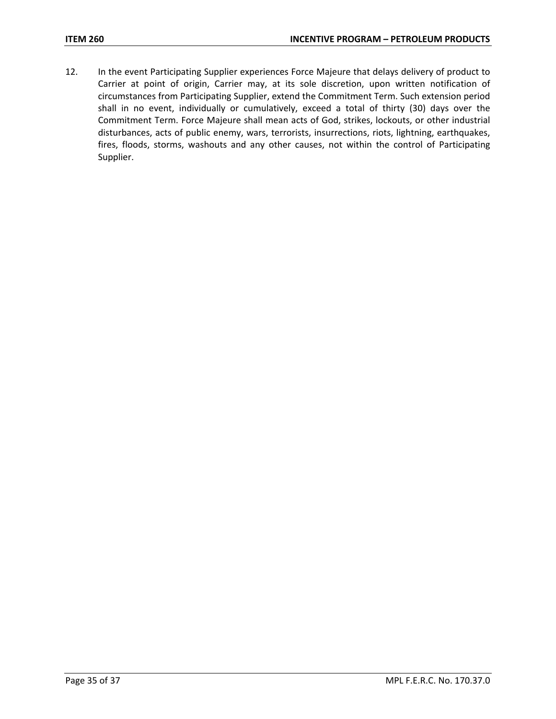12. In the event Participating Supplier experiences Force Majeure that delays delivery of product to Carrier at point of origin, Carrier may, at its sole discretion, upon written notification of circumstances from Participating Supplier, extend the Commitment Term. Such extension period shall in no event, individually or cumulatively, exceed a total of thirty (30) days over the Commitment Term. Force Majeure shall mean acts of God, strikes, lockouts, or other industrial disturbances, acts of public enemy, wars, terrorists, insurrections, riots, lightning, earthquakes, fires, floods, storms, washouts and any other causes, not within the control of Participating Supplier.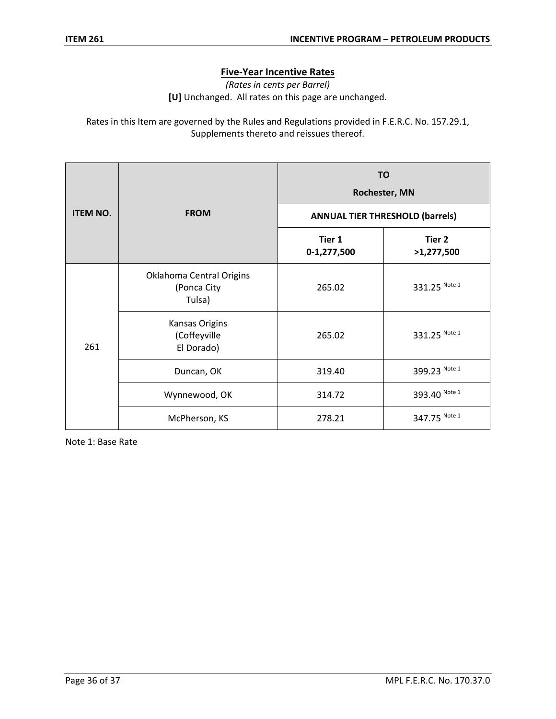## **Five-Year Incentive Rates**

*(Rates in cents per Barrel)* **[U]** Unchanged. All rates on this page are unchanged.

Rates in this Item are governed by the Rules and Regulations provided in F.E.R.C. No. 157.29.1, Supplements thereto and reissues thereof.

|                 | <b>FROM</b>                                       | <b>TO</b><br>Rochester, MN             |                      |  |
|-----------------|---------------------------------------------------|----------------------------------------|----------------------|--|
| <b>ITEM NO.</b> |                                                   | <b>ANNUAL TIER THRESHOLD (barrels)</b> |                      |  |
|                 |                                                   | Tier 1<br>0-1,277,500                  | Tier 2<br>>1,277,500 |  |
| 261             | Oklahoma Central Origins<br>(Ponca City<br>Tulsa) | 265.02                                 | 331.25 Note 1        |  |
|                 | Kansas Origins<br>(Coffeyville<br>El Dorado)      | 265.02                                 | 331.25 Note 1        |  |
|                 | Duncan, OK                                        | 319.40                                 | 399.23 Note 1        |  |
|                 | Wynnewood, OK                                     | 314.72                                 | 393.40 Note 1        |  |
|                 | McPherson, KS                                     | 278.21                                 | 347.75 Note 1        |  |

Note 1: Base Rate